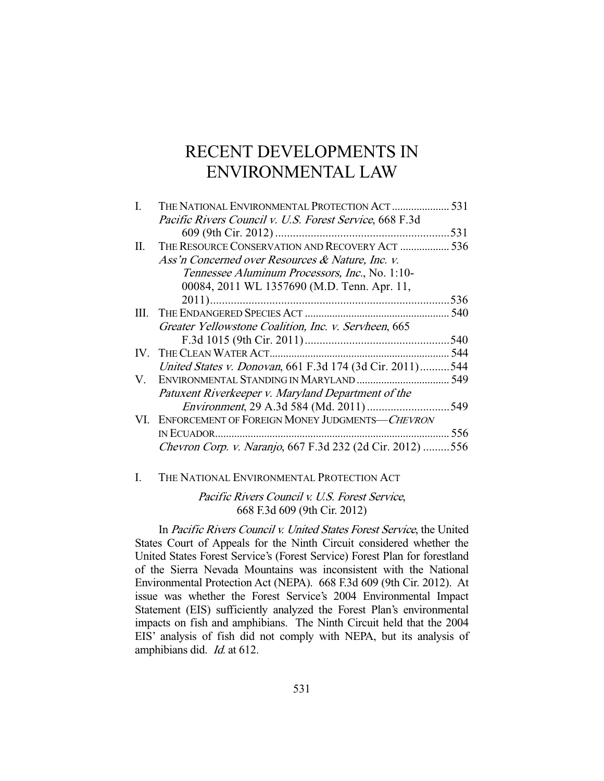# RECENT DEVELOPMENTS IN ENVIRONMENTAL LAW

|    | THE NATIONAL ENVIRONMENTAL PROTECTION ACT  531            |      |
|----|-----------------------------------------------------------|------|
|    | Pacific Rivers Council v. U.S. Forest Service, 668 F.3d   |      |
|    |                                                           |      |
| П. | THE RESOURCE CONSERVATION AND RECOVERY ACT  536           |      |
|    | Ass'n Concerned over Resources & Nature, Inc. v.          |      |
|    | Tennessee Aluminum Processors, Inc., No. 1:10-            |      |
|    | 00084, 2011 WL 1357690 (M.D. Tenn. Apr. 11,               |      |
|    |                                                           | 536  |
|    |                                                           | 540  |
|    | Greater Yellowstone Coalition, Inc. v. Servheen, 665      |      |
|    |                                                           | .540 |
|    |                                                           |      |
|    | United States v. Donovan, 661 F.3d 174 (3d Cir. 2011)544  |      |
| V. |                                                           |      |
|    | Patuxent Riverkeeper v. Maryland Department of the        |      |
|    |                                                           |      |
|    | VI. ENFORCEMENT OF FOREIGN MONEY JUDGMENTS-CHEVRON        |      |
|    |                                                           | 556  |
|    | Chevron Corp. v. Naranjo, 667 F.3d 232 (2d Cir. 2012) 556 |      |
|    |                                                           |      |

I. THE NATIONAL ENVIRONMENTAL PROTECTION ACT

Pacific Rivers Council v. U.S. Forest Service, 668 F.3d 609 (9th Cir. 2012)

 In Pacific Rivers Council v. United States Forest Service, the United States Court of Appeals for the Ninth Circuit considered whether the United States Forest Service's (Forest Service) Forest Plan for forestland of the Sierra Nevada Mountains was inconsistent with the National Environmental Protection Act (NEPA). 668 F.3d 609 (9th Cir. 2012). At issue was whether the Forest Service's 2004 Environmental Impact Statement (EIS) sufficiently analyzed the Forest Plan's environmental impacts on fish and amphibians. The Ninth Circuit held that the 2004 EIS' analysis of fish did not comply with NEPA, but its analysis of amphibians did. Id. at 612.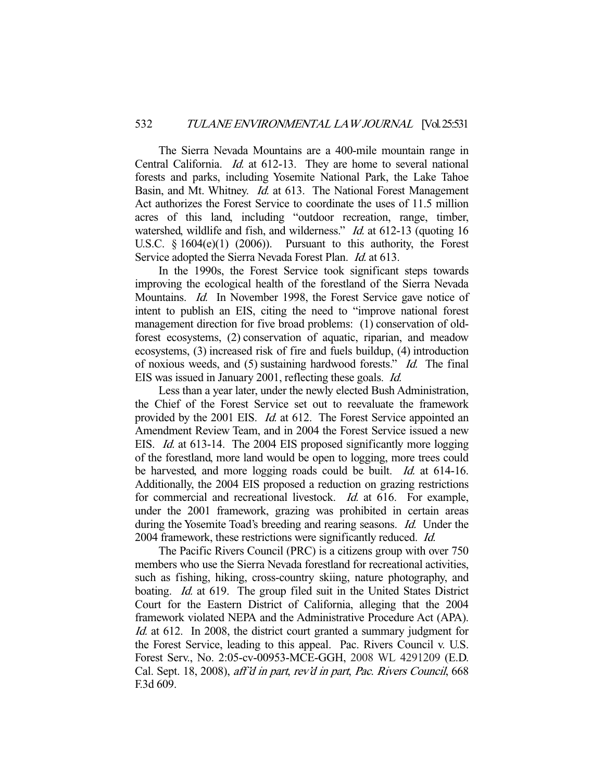The Sierra Nevada Mountains are a 400-mile mountain range in Central California. *Id.* at 612-13. They are home to several national forests and parks, including Yosemite National Park, the Lake Tahoe Basin, and Mt. Whitney. *Id.* at 613. The National Forest Management Act authorizes the Forest Service to coordinate the uses of 11.5 million acres of this land, including "outdoor recreation, range, timber, watershed, wildlife and fish, and wilderness." *Id.* at 612-13 (quoting 16) U.S.C. § 1604(e)(1) (2006)). Pursuant to this authority, the Forest Service adopted the Sierra Nevada Forest Plan. *Id.* at 613.

 In the 1990s, the Forest Service took significant steps towards improving the ecological health of the forestland of the Sierra Nevada Mountains. *Id.* In November 1998, the Forest Service gave notice of intent to publish an EIS, citing the need to "improve national forest management direction for five broad problems: (1) conservation of oldforest ecosystems, (2) conservation of aquatic, riparian, and meadow ecosystems, (3) increased risk of fire and fuels buildup, (4) introduction of noxious weeds, and (5) sustaining hardwood forests." Id. The final EIS was issued in January 2001, reflecting these goals. Id.

 Less than a year later, under the newly elected Bush Administration, the Chief of the Forest Service set out to reevaluate the framework provided by the 2001 EIS. *Id.* at 612. The Forest Service appointed an Amendment Review Team, and in 2004 the Forest Service issued a new EIS. Id. at 613-14. The 2004 EIS proposed significantly more logging of the forestland, more land would be open to logging, more trees could be harvested, and more logging roads could be built. *Id.* at 614-16. Additionally, the 2004 EIS proposed a reduction on grazing restrictions for commercial and recreational livestock. *Id.* at 616. For example, under the 2001 framework, grazing was prohibited in certain areas during the Yosemite Toad's breeding and rearing seasons. *Id.* Under the 2004 framework, these restrictions were significantly reduced. *Id.* 

 The Pacific Rivers Council (PRC) is a citizens group with over 750 members who use the Sierra Nevada forestland for recreational activities, such as fishing, hiking, cross-country skiing, nature photography, and boating. *Id.* at 619. The group filed suit in the United States District Court for the Eastern District of California, alleging that the 2004 framework violated NEPA and the Administrative Procedure Act (APA). Id. at 612. In 2008, the district court granted a summary judgment for the Forest Service, leading to this appeal. Pac. Rivers Council v. U.S. Forest Serv., No. 2:05-cv-00953-MCE-GGH, 2008 WL 4291209 (E.D. Cal. Sept. 18, 2008), aff'd in part, rev'd in part, Pac. Rivers Council, 668 F.3d 609.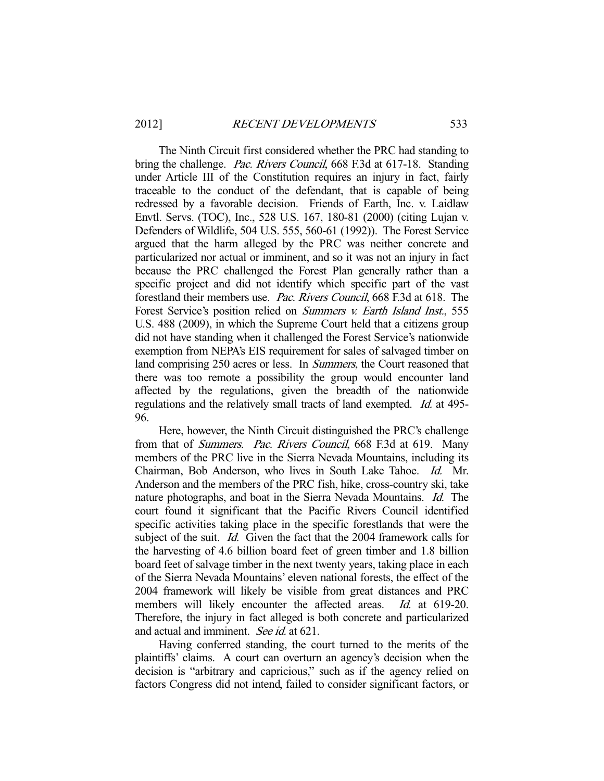The Ninth Circuit first considered whether the PRC had standing to bring the challenge. *Pac. Rivers Council*, 668 F.3d at 617-18. Standing under Article III of the Constitution requires an injury in fact, fairly traceable to the conduct of the defendant, that is capable of being redressed by a favorable decision. Friends of Earth, Inc. v. Laidlaw Envtl. Servs. (TOC), Inc., 528 U.S. 167, 180-81 (2000) (citing Lujan v. Defenders of Wildlife, 504 U.S. 555, 560-61 (1992)). The Forest Service argued that the harm alleged by the PRC was neither concrete and particularized nor actual or imminent, and so it was not an injury in fact because the PRC challenged the Forest Plan generally rather than a specific project and did not identify which specific part of the vast forestland their members use. Pac. Rivers Council, 668 F.3d at 618. The Forest Service's position relied on *Summers v. Earth Island Inst.*, 555 U.S. 488 (2009), in which the Supreme Court held that a citizens group did not have standing when it challenged the Forest Service's nationwide exemption from NEPA's EIS requirement for sales of salvaged timber on land comprising 250 acres or less. In *Summers*, the Court reasoned that there was too remote a possibility the group would encounter land affected by the regulations, given the breadth of the nationwide regulations and the relatively small tracts of land exempted. *Id.* at 495-96.

 Here, however, the Ninth Circuit distinguished the PRC's challenge from that of Summers. Pac. Rivers Council, 668 F.3d at 619. Many members of the PRC live in the Sierra Nevada Mountains, including its Chairman, Bob Anderson, who lives in South Lake Tahoe. Id. Mr. Anderson and the members of the PRC fish, hike, cross-country ski, take nature photographs, and boat in the Sierra Nevada Mountains. Id. The court found it significant that the Pacific Rivers Council identified specific activities taking place in the specific forestlands that were the subject of the suit. *Id.* Given the fact that the 2004 framework calls for the harvesting of 4.6 billion board feet of green timber and 1.8 billion board feet of salvage timber in the next twenty years, taking place in each of the Sierra Nevada Mountains' eleven national forests, the effect of the 2004 framework will likely be visible from great distances and PRC members will likely encounter the affected areas. *Id.* at 619-20. Therefore, the injury in fact alleged is both concrete and particularized and actual and imminent. See id. at 621.

 Having conferred standing, the court turned to the merits of the plaintiffs' claims. A court can overturn an agency's decision when the decision is "arbitrary and capricious," such as if the agency relied on factors Congress did not intend, failed to consider significant factors, or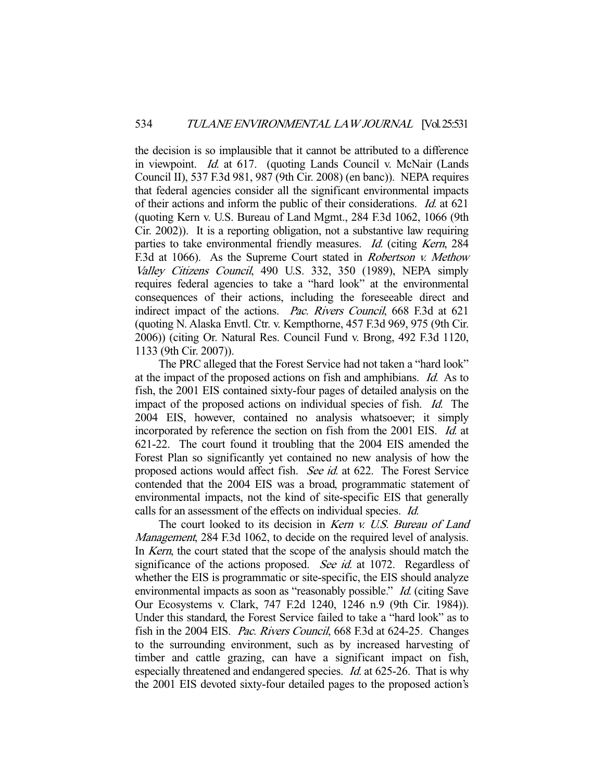the decision is so implausible that it cannot be attributed to a difference in viewpoint. Id. at 617. (quoting Lands Council v. McNair (Lands Council II), 537 F.3d 981, 987 (9th Cir. 2008) (en banc)). NEPA requires that federal agencies consider all the significant environmental impacts of their actions and inform the public of their considerations. Id. at 621 (quoting Kern v. U.S. Bureau of Land Mgmt., 284 F.3d 1062, 1066 (9th Cir. 2002)). It is a reporting obligation, not a substantive law requiring parties to take environmental friendly measures. Id. (citing Kern, 284) F.3d at 1066). As the Supreme Court stated in *Robertson v. Methow* Valley Citizens Council, 490 U.S. 332, 350 (1989), NEPA simply requires federal agencies to take a "hard look" at the environmental consequences of their actions, including the foreseeable direct and indirect impact of the actions. Pac. Rivers Council, 668 F.3d at 621 (quoting N. Alaska Envtl. Ctr. v. Kempthorne, 457 F.3d 969, 975 (9th Cir. 2006)) (citing Or. Natural Res. Council Fund v. Brong, 492 F.3d 1120, 1133 (9th Cir. 2007)).

 The PRC alleged that the Forest Service had not taken a "hard look" at the impact of the proposed actions on fish and amphibians. Id. As to fish, the 2001 EIS contained sixty-four pages of detailed analysis on the impact of the proposed actions on individual species of fish. Id. The 2004 EIS, however, contained no analysis whatsoever; it simply incorporated by reference the section on fish from the 2001 EIS. Id. at 621-22. The court found it troubling that the 2004 EIS amended the Forest Plan so significantly yet contained no new analysis of how the proposed actions would affect fish. See id. at 622. The Forest Service contended that the 2004 EIS was a broad, programmatic statement of environmental impacts, not the kind of site-specific EIS that generally calls for an assessment of the effects on individual species. Id.

The court looked to its decision in Kern v. U.S. Bureau of Land Management, 284 F.3d 1062, to decide on the required level of analysis. In Kern, the court stated that the scope of the analysis should match the significance of the actions proposed. See id. at 1072. Regardless of whether the EIS is programmatic or site-specific, the EIS should analyze environmental impacts as soon as "reasonably possible." *Id.* (citing Save Our Ecosystems v. Clark, 747 F.2d 1240, 1246 n.9 (9th Cir. 1984)). Under this standard, the Forest Service failed to take a "hard look" as to fish in the 2004 EIS. Pac. Rivers Council, 668 F.3d at 624-25. Changes to the surrounding environment, such as by increased harvesting of timber and cattle grazing, can have a significant impact on fish, especially threatened and endangered species. Id. at 625-26. That is why the 2001 EIS devoted sixty-four detailed pages to the proposed action's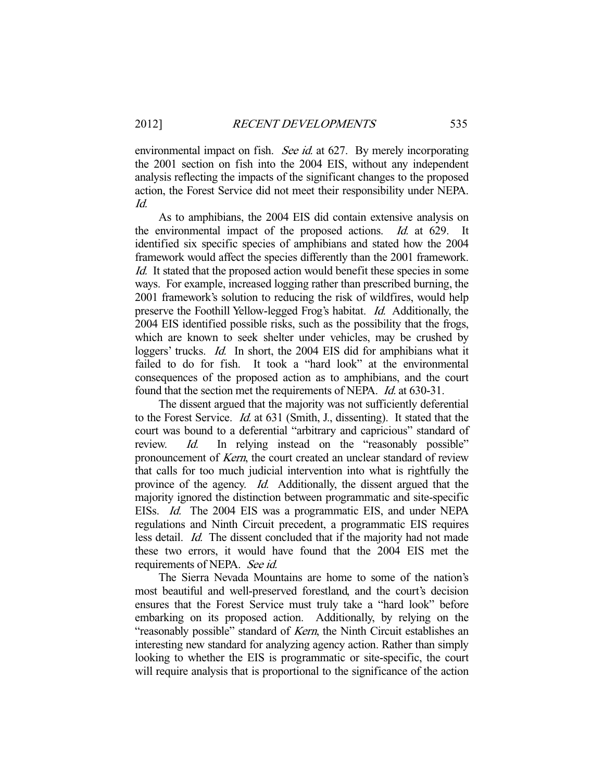environmental impact on fish. See id. at 627. By merely incorporating the 2001 section on fish into the 2004 EIS, without any independent analysis reflecting the impacts of the significant changes to the proposed action, the Forest Service did not meet their responsibility under NEPA. Id.

 As to amphibians, the 2004 EIS did contain extensive analysis on the environmental impact of the proposed actions. *Id.* at 629. It identified six specific species of amphibians and stated how the 2004 framework would affect the species differently than the 2001 framework. Id. It stated that the proposed action would benefit these species in some ways. For example, increased logging rather than prescribed burning, the 2001 framework's solution to reducing the risk of wildfires, would help preserve the Foothill Yellow-legged Frog's habitat. Id. Additionally, the 2004 EIS identified possible risks, such as the possibility that the frogs, which are known to seek shelter under vehicles, may be crushed by loggers' trucks. *Id.* In short, the 2004 EIS did for amphibians what it failed to do for fish. It took a "hard look" at the environmental consequences of the proposed action as to amphibians, and the court found that the section met the requirements of NEPA. *Id.* at 630-31.

 The dissent argued that the majority was not sufficiently deferential to the Forest Service. Id. at 631 (Smith, J., dissenting). It stated that the court was bound to a deferential "arbitrary and capricious" standard of review. *Id.* In relying instead on the "reasonably possible" pronouncement of Kern, the court created an unclear standard of review that calls for too much judicial intervention into what is rightfully the province of the agency. Id. Additionally, the dissent argued that the majority ignored the distinction between programmatic and site-specific EISs. Id. The 2004 EIS was a programmatic EIS, and under NEPA regulations and Ninth Circuit precedent, a programmatic EIS requires less detail. Id. The dissent concluded that if the majority had not made these two errors, it would have found that the 2004 EIS met the requirements of NEPA. See id.

 The Sierra Nevada Mountains are home to some of the nation's most beautiful and well-preserved forestland, and the court's decision ensures that the Forest Service must truly take a "hard look" before embarking on its proposed action. Additionally, by relying on the "reasonably possible" standard of Kern, the Ninth Circuit establishes an interesting new standard for analyzing agency action. Rather than simply looking to whether the EIS is programmatic or site-specific, the court will require analysis that is proportional to the significance of the action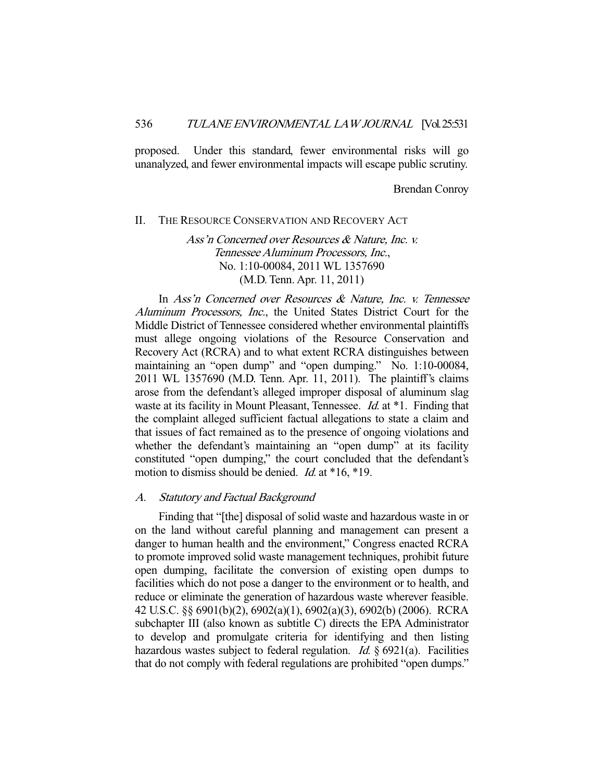proposed. Under this standard, fewer environmental risks will go unanalyzed, and fewer environmental impacts will escape public scrutiny.

Brendan Conroy

#### II. THE RESOURCE CONSERVATION AND RECOVERY ACT

# Ass'n Concerned over Resources & Nature, Inc. v. Tennessee Aluminum Processors, Inc., No. 1:10-00084, 2011 WL 1357690 (M.D. Tenn. Apr. 11, 2011)

 In Ass'n Concerned over Resources & Nature, Inc. v. Tennessee Aluminum Processors, Inc., the United States District Court for the Middle District of Tennessee considered whether environmental plaintiffs must allege ongoing violations of the Resource Conservation and Recovery Act (RCRA) and to what extent RCRA distinguishes between maintaining an "open dump" and "open dumping." No. 1:10-00084, 2011 WL 1357690 (M.D. Tenn. Apr. 11, 2011). The plaintiff's claims arose from the defendant's alleged improper disposal of aluminum slag waste at its facility in Mount Pleasant, Tennessee. *Id.* at \*1. Finding that the complaint alleged sufficient factual allegations to state a claim and that issues of fact remained as to the presence of ongoing violations and whether the defendant's maintaining an "open dump" at its facility constituted "open dumping," the court concluded that the defendant's motion to dismiss should be denied. *Id.* at \*16, \*19.

#### A. Statutory and Factual Background

 Finding that "[the] disposal of solid waste and hazardous waste in or on the land without careful planning and management can present a danger to human health and the environment," Congress enacted RCRA to promote improved solid waste management techniques, prohibit future open dumping, facilitate the conversion of existing open dumps to facilities which do not pose a danger to the environment or to health, and reduce or eliminate the generation of hazardous waste wherever feasible. 42 U.S.C. §§ 6901(b)(2), 6902(a)(1), 6902(a)(3), 6902(b) (2006). RCRA subchapter III (also known as subtitle C) directs the EPA Administrator to develop and promulgate criteria for identifying and then listing hazardous wastes subject to federal regulation. *Id.*  $\S 6921(a)$ . Facilities that do not comply with federal regulations are prohibited "open dumps."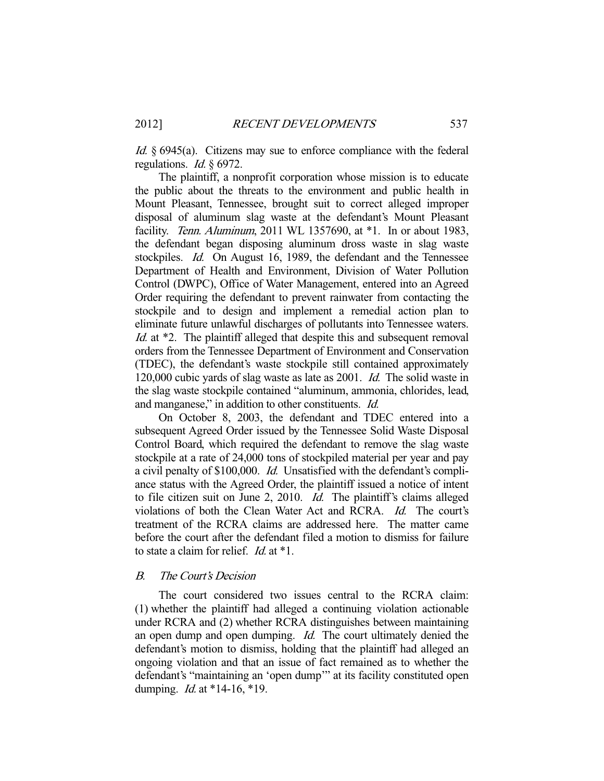Id. § 6945(a). Citizens may sue to enforce compliance with the federal regulations. *Id.*  $\S 6972$ .

 The plaintiff, a nonprofit corporation whose mission is to educate the public about the threats to the environment and public health in Mount Pleasant, Tennessee, brought suit to correct alleged improper disposal of aluminum slag waste at the defendant's Mount Pleasant facility. Tenn. Aluminum, 2011 WL 1357690, at \*1. In or about 1983, the defendant began disposing aluminum dross waste in slag waste stockpiles. *Id.* On August 16, 1989, the defendant and the Tennessee Department of Health and Environment, Division of Water Pollution Control (DWPC), Office of Water Management, entered into an Agreed Order requiring the defendant to prevent rainwater from contacting the stockpile and to design and implement a remedial action plan to eliminate future unlawful discharges of pollutants into Tennessee waters. Id. at \*2. The plaintiff alleged that despite this and subsequent removal orders from the Tennessee Department of Environment and Conservation (TDEC), the defendant's waste stockpile still contained approximately 120,000 cubic yards of slag waste as late as 2001. Id. The solid waste in the slag waste stockpile contained "aluminum, ammonia, chlorides, lead, and manganese," in addition to other constituents. Id.

 On October 8, 2003, the defendant and TDEC entered into a subsequent Agreed Order issued by the Tennessee Solid Waste Disposal Control Board, which required the defendant to remove the slag waste stockpile at a rate of 24,000 tons of stockpiled material per year and pay a civil penalty of \$100,000. Id. Unsatisfied with the defendant's compliance status with the Agreed Order, the plaintiff issued a notice of intent to file citizen suit on June 2, 2010. Id. The plaintiff's claims alleged violations of both the Clean Water Act and RCRA. Id. The court's treatment of the RCRA claims are addressed here. The matter came before the court after the defendant filed a motion to dismiss for failure to state a claim for relief. Id. at \*1.

# B. The Court's Decision

 The court considered two issues central to the RCRA claim: (1) whether the plaintiff had alleged a continuing violation actionable under RCRA and (2) whether RCRA distinguishes between maintaining an open dump and open dumping. *Id.* The court ultimately denied the defendant's motion to dismiss, holding that the plaintiff had alleged an ongoing violation and that an issue of fact remained as to whether the defendant's "maintaining an 'open dump'" at its facility constituted open dumping. *Id.* at \*14-16, \*19.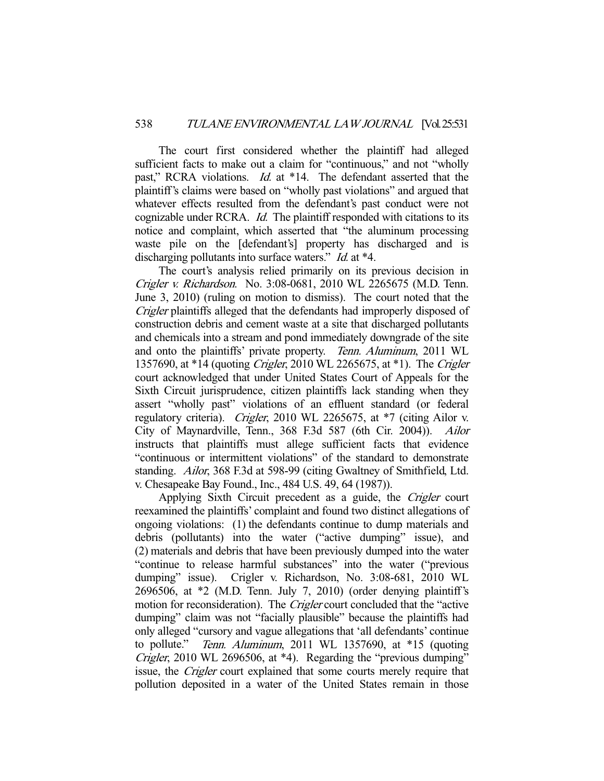The court first considered whether the plaintiff had alleged sufficient facts to make out a claim for "continuous," and not "wholly past," RCRA violations. *Id.* at \*14. The defendant asserted that the plaintiff's claims were based on "wholly past violations" and argued that whatever effects resulted from the defendant's past conduct were not cognizable under RCRA. Id. The plaintiff responded with citations to its notice and complaint, which asserted that "the aluminum processing waste pile on the [defendant's] property has discharged and is discharging pollutants into surface waters." *Id.* at \*4.

 The court's analysis relied primarily on its previous decision in Crigler v. Richardson. No. 3:08-0681, 2010 WL 2265675 (M.D. Tenn. June 3, 2010) (ruling on motion to dismiss). The court noted that the Crigler plaintiffs alleged that the defendants had improperly disposed of construction debris and cement waste at a site that discharged pollutants and chemicals into a stream and pond immediately downgrade of the site and onto the plaintiffs' private property. Tenn. Aluminum, 2011 WL 1357690, at \*14 (quoting Crigler, 2010 WL 2265675, at \*1). The Crigler court acknowledged that under United States Court of Appeals for the Sixth Circuit jurisprudence, citizen plaintiffs lack standing when they assert "wholly past" violations of an effluent standard (or federal regulatory criteria). Crigler, 2010 WL 2265675, at \*7 (citing Ailor v. City of Maynardville, Tenn., 368 F.3d 587 (6th Cir. 2004)). Ailor instructs that plaintiffs must allege sufficient facts that evidence "continuous or intermittent violations" of the standard to demonstrate standing. Ailor, 368 F.3d at 598-99 (citing Gwaltney of Smithfield, Ltd. v. Chesapeake Bay Found., Inc., 484 U.S. 49, 64 (1987)).

 Applying Sixth Circuit precedent as a guide, the Crigler court reexamined the plaintiffs' complaint and found two distinct allegations of ongoing violations: (1) the defendants continue to dump materials and debris (pollutants) into the water ("active dumping" issue), and (2) materials and debris that have been previously dumped into the water "continue to release harmful substances" into the water ("previous dumping" issue). Crigler v. Richardson, No. 3:08-681, 2010 WL 2696506, at \*2 (M.D. Tenn. July 7, 2010) (order denying plaintiff's motion for reconsideration). The *Crigler* court concluded that the "active" dumping" claim was not "facially plausible" because the plaintiffs had only alleged "cursory and vague allegations that 'all defendants' continue to pollute." Tenn. Aluminum, 2011 WL 1357690, at \*15 (quoting Crigler, 2010 WL 2696506, at \*4). Regarding the "previous dumping" issue, the Crigler court explained that some courts merely require that pollution deposited in a water of the United States remain in those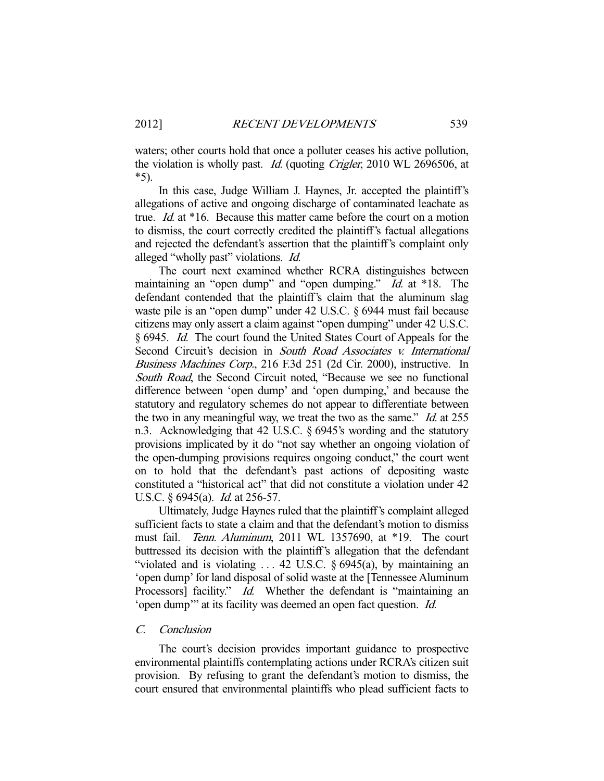waters; other courts hold that once a polluter ceases his active pollution, the violation is wholly past. Id. (quoting Crigler, 2010 WL 2696506, at \*5).

 In this case, Judge William J. Haynes, Jr. accepted the plaintiff's allegations of active and ongoing discharge of contaminated leachate as true. Id. at \*16. Because this matter came before the court on a motion to dismiss, the court correctly credited the plaintiff's factual allegations and rejected the defendant's assertion that the plaintiff's complaint only alleged "wholly past" violations. Id.

 The court next examined whether RCRA distinguishes between maintaining an "open dump" and "open dumping." *Id.* at \*18. The defendant contended that the plaintiff's claim that the aluminum slag waste pile is an "open dump" under 42 U.S.C. § 6944 must fail because citizens may only assert a claim against "open dumping" under 42 U.S.C. § 6945. Id. The court found the United States Court of Appeals for the Second Circuit's decision in South Road Associates v. International Business Machines Corp., 216 F.3d 251 (2d Cir. 2000), instructive. In South Road, the Second Circuit noted, "Because we see no functional difference between 'open dump' and 'open dumping,' and because the statutory and regulatory schemes do not appear to differentiate between the two in any meaningful way, we treat the two as the same." Id. at 255 n.3. Acknowledging that 42 U.S.C. § 6945's wording and the statutory provisions implicated by it do "not say whether an ongoing violation of the open-dumping provisions requires ongoing conduct," the court went on to hold that the defendant's past actions of depositing waste constituted a "historical act" that did not constitute a violation under 42 U.S.C. § 6945(a). *Id.* at 256-57.

 Ultimately, Judge Haynes ruled that the plaintiff's complaint alleged sufficient facts to state a claim and that the defendant's motion to dismiss must fail. Tenn. Aluminum, 2011 WL 1357690, at \*19. The court buttressed its decision with the plaintiff's allegation that the defendant "violated and is violating  $\dots$  42 U.S.C. § 6945(a), by maintaining an 'open dump' for land disposal of solid waste at the [Tennessee Aluminum Processors] facility." *Id.* Whether the defendant is "maintaining an 'open dump'" at its facility was deemed an open fact question. Id.

# C. Conclusion

 The court's decision provides important guidance to prospective environmental plaintiffs contemplating actions under RCRA's citizen suit provision. By refusing to grant the defendant's motion to dismiss, the court ensured that environmental plaintiffs who plead sufficient facts to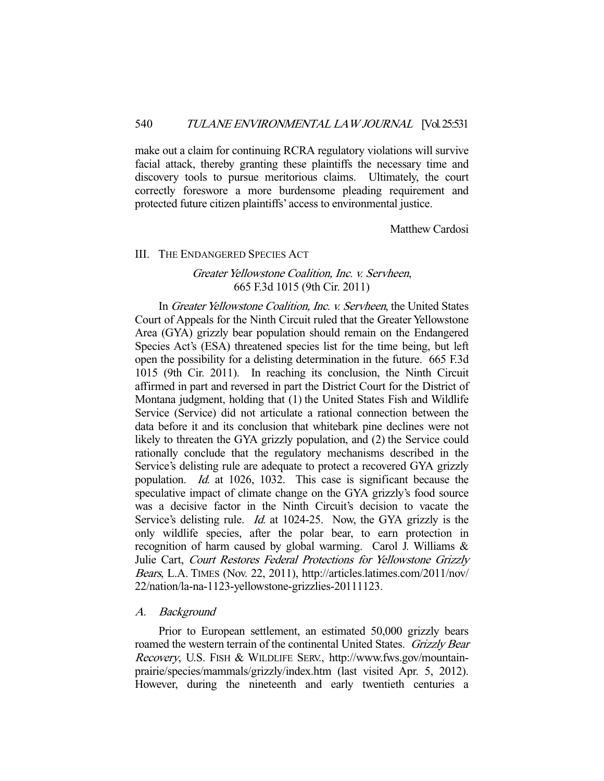make out a claim for continuing RCRA regulatory violations will survive facial attack, thereby granting these plaintiffs the necessary time and discovery tools to pursue meritorious claims. Ultimately, the court correctly foreswore a more burdensome pleading requirement and protected future citizen plaintiffs' access to environmental justice.

Matthew Cardosi

#### III. THE ENDANGERED SPECIES ACT

# Greater Yellowstone Coalition, Inc. v. Servheen, 665 F.3d 1015 (9th Cir. 2011)

In Greater Yellowstone Coalition, Inc. v. Servheen, the United States Court of Appeals for the Ninth Circuit ruled that the Greater Yellowstone Area (GYA) grizzly bear population should remain on the Endangered Species Act's (ESA) threatened species list for the time being, but left open the possibility for a delisting determination in the future. 665 F.3d 1015 (9th Cir. 2011). In reaching its conclusion, the Ninth Circuit affirmed in part and reversed in part the District Court for the District of Montana judgment, holding that (1) the United States Fish and Wildlife Service (Service) did not articulate a rational connection between the data before it and its conclusion that whitebark pine declines were not likely to threaten the GYA grizzly population, and (2) the Service could rationally conclude that the regulatory mechanisms described in the Service's delisting rule are adequate to protect a recovered GYA grizzly population. Id. at 1026, 1032. This case is significant because the speculative impact of climate change on the GYA grizzly's food source was a decisive factor in the Ninth Circuit's decision to vacate the Service's delisting rule. *Id.* at 1024-25. Now, the GYA grizzly is the only wildlife species, after the polar bear, to earn protection in recognition of harm caused by global warming. Carol J. Williams & Julie Cart, Court Restores Federal Protections for Yellowstone Grizzly Bears, L.A. TIMES (Nov. 22, 2011), http://articles.latimes.com/2011/nov/ 22/nation/la-na-1123-yellowstone-grizzlies-20111123.

#### A. Background

 Prior to European settlement, an estimated 50,000 grizzly bears roamed the western terrain of the continental United States. Grizzly Bear Recovery, U.S. FISH & WILDLIFE SERV., http://www.fws.gov/mountainprairie/species/mammals/grizzly/index.htm (last visited Apr. 5, 2012). However, during the nineteenth and early twentieth centuries a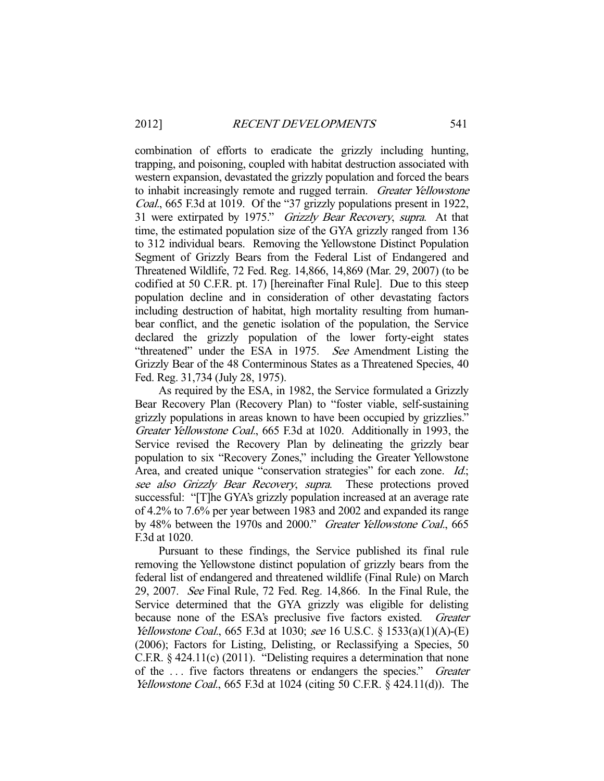combination of efforts to eradicate the grizzly including hunting, trapping, and poisoning, coupled with habitat destruction associated with western expansion, devastated the grizzly population and forced the bears to inhabit increasingly remote and rugged terrain. Greater Yellowstone Coal., 665 F.3d at 1019. Of the "37 grizzly populations present in 1922, 31 were extirpated by 1975." Grizzly Bear Recovery, supra. At that time, the estimated population size of the GYA grizzly ranged from 136 to 312 individual bears. Removing the Yellowstone Distinct Population Segment of Grizzly Bears from the Federal List of Endangered and Threatened Wildlife, 72 Fed. Reg. 14,866, 14,869 (Mar. 29, 2007) (to be codified at 50 C.F.R. pt. 17) [hereinafter Final Rule]. Due to this steep population decline and in consideration of other devastating factors including destruction of habitat, high mortality resulting from humanbear conflict, and the genetic isolation of the population, the Service declared the grizzly population of the lower forty-eight states "threatened" under the ESA in 1975. See Amendment Listing the Grizzly Bear of the 48 Conterminous States as a Threatened Species, 40 Fed. Reg. 31,734 (July 28, 1975).

 As required by the ESA, in 1982, the Service formulated a Grizzly Bear Recovery Plan (Recovery Plan) to "foster viable, self-sustaining grizzly populations in areas known to have been occupied by grizzlies." Greater Yellowstone Coal., 665 F.3d at 1020. Additionally in 1993, the Service revised the Recovery Plan by delineating the grizzly bear population to six "Recovery Zones," including the Greater Yellowstone Area, and created unique "conservation strategies" for each zone. Id.; see also Grizzly Bear Recovery, supra. These protections proved successful: "[T]he GYA's grizzly population increased at an average rate of 4.2% to 7.6% per year between 1983 and 2002 and expanded its range by 48% between the 1970s and 2000." Greater Yellowstone Coal., 665 F.3d at 1020.

 Pursuant to these findings, the Service published its final rule removing the Yellowstone distinct population of grizzly bears from the federal list of endangered and threatened wildlife (Final Rule) on March 29, 2007. See Final Rule, 72 Fed. Reg. 14,866. In the Final Rule, the Service determined that the GYA grizzly was eligible for delisting because none of the ESA's preclusive five factors existed. Greater Yellowstone Coal., 665 F.3d at 1030; see 16 U.S.C. § 1533(a)(1)(A)-(E) (2006); Factors for Listing, Delisting, or Reclassifying a Species, 50 C.F.R. § 424.11(c) (2011). "Delisting requires a determination that none of the ... five factors threatens or endangers the species." Greater Yellowstone Coal., 665 F.3d at 1024 (citing 50 C.F.R. § 424.11(d)). The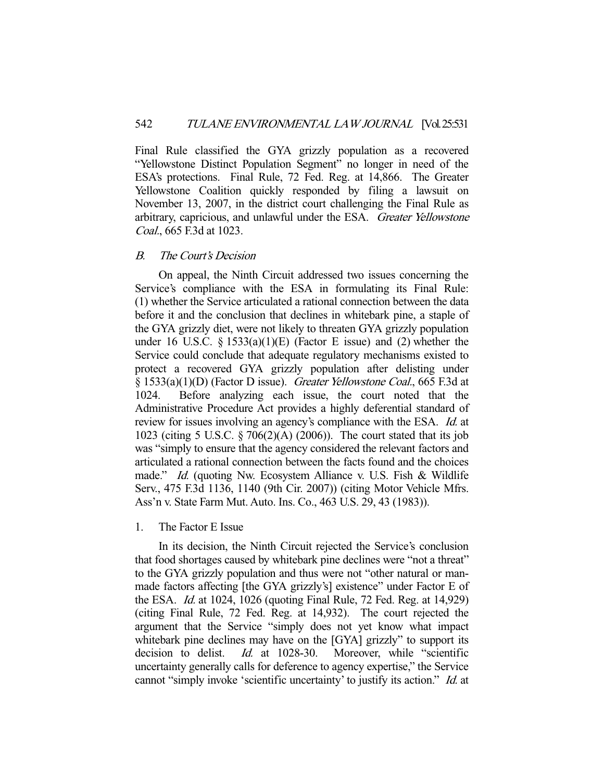Final Rule classified the GYA grizzly population as a recovered "Yellowstone Distinct Population Segment" no longer in need of the ESA's protections. Final Rule, 72 Fed. Reg. at 14,866. The Greater Yellowstone Coalition quickly responded by filing a lawsuit on November 13, 2007, in the district court challenging the Final Rule as arbitrary, capricious, and unlawful under the ESA. Greater Yellowstone Coal., 665 F.3d at 1023.

## B. The Court's Decision

 On appeal, the Ninth Circuit addressed two issues concerning the Service's compliance with the ESA in formulating its Final Rule: (1) whether the Service articulated a rational connection between the data before it and the conclusion that declines in whitebark pine, a staple of the GYA grizzly diet, were not likely to threaten GYA grizzly population under 16 U.S.C.  $\S$  1533(a)(1)(E) (Factor E issue) and (2) whether the Service could conclude that adequate regulatory mechanisms existed to protect a recovered GYA grizzly population after delisting under § 1533(a)(1)(D) (Factor D issue). Greater Yellowstone Coal., 665 F.3d at 1024. Before analyzing each issue, the court noted that the Administrative Procedure Act provides a highly deferential standard of review for issues involving an agency's compliance with the ESA. *Id.* at 1023 (citing 5 U.S.C. § 706(2)(A) (2006)). The court stated that its job was "simply to ensure that the agency considered the relevant factors and articulated a rational connection between the facts found and the choices made." *Id.* (quoting Nw. Ecosystem Alliance v. U.S. Fish & Wildlife Serv., 475 F.3d 1136, 1140 (9th Cir. 2007)) (citing Motor Vehicle Mfrs. Ass'n v. State Farm Mut. Auto. Ins. Co., 463 U.S. 29, 43 (1983)).

## 1. The Factor E Issue

 In its decision, the Ninth Circuit rejected the Service's conclusion that food shortages caused by whitebark pine declines were "not a threat" to the GYA grizzly population and thus were not "other natural or manmade factors affecting [the GYA grizzly's] existence" under Factor E of the ESA. Id. at 1024, 1026 (quoting Final Rule, 72 Fed. Reg. at 14,929) (citing Final Rule, 72 Fed. Reg. at 14,932). The court rejected the argument that the Service "simply does not yet know what impact whitebark pine declines may have on the [GYA] grizzly" to support its decision to delist. *Id.* at 1028-30. Moreover, while "scientific uncertainty generally calls for deference to agency expertise," the Service cannot "simply invoke 'scientific uncertainty' to justify its action." Id. at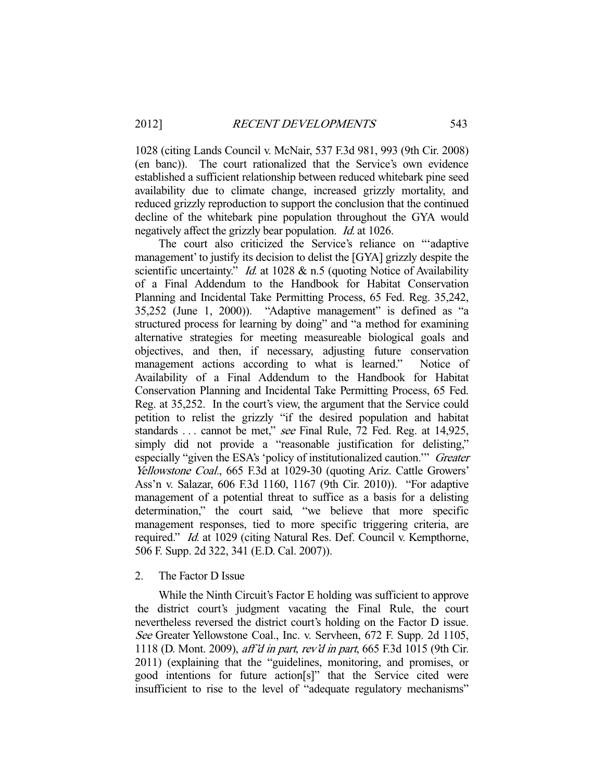1028 (citing Lands Council v. McNair, 537 F.3d 981, 993 (9th Cir. 2008) (en banc)). The court rationalized that the Service's own evidence established a sufficient relationship between reduced whitebark pine seed availability due to climate change, increased grizzly mortality, and reduced grizzly reproduction to support the conclusion that the continued decline of the whitebark pine population throughout the GYA would negatively affect the grizzly bear population. Id. at 1026.

 The court also criticized the Service's reliance on "'adaptive management' to justify its decision to delist the [GYA] grizzly despite the scientific uncertainty." *Id.* at 1028 & n.5 (quoting Notice of Availability of a Final Addendum to the Handbook for Habitat Conservation Planning and Incidental Take Permitting Process, 65 Fed. Reg. 35,242, 35,252 (June 1, 2000)). "Adaptive management" is defined as "a structured process for learning by doing" and "a method for examining alternative strategies for meeting measureable biological goals and objectives, and then, if necessary, adjusting future conservation management actions according to what is learned." Notice of Availability of a Final Addendum to the Handbook for Habitat Conservation Planning and Incidental Take Permitting Process, 65 Fed. Reg. at 35,252. In the court's view, the argument that the Service could petition to relist the grizzly "if the desired population and habitat standards ... cannot be met," see Final Rule, 72 Fed. Reg. at 14,925, simply did not provide a "reasonable justification for delisting," especially "given the ESA's 'policy of institutionalized caution.'" Greater Yellowstone Coal., 665 F.3d at 1029-30 (quoting Ariz. Cattle Growers' Ass'n v. Salazar, 606 F.3d 1160, 1167 (9th Cir. 2010)). "For adaptive management of a potential threat to suffice as a basis for a delisting determination," the court said, "we believe that more specific management responses, tied to more specific triggering criteria, are required." Id. at 1029 (citing Natural Res. Def. Council v. Kempthorne, 506 F. Supp. 2d 322, 341 (E.D. Cal. 2007)).

## 2. The Factor D Issue

 While the Ninth Circuit's Factor E holding was sufficient to approve the district court's judgment vacating the Final Rule, the court nevertheless reversed the district court's holding on the Factor D issue. See Greater Yellowstone Coal., Inc. v. Servheen, 672 F. Supp. 2d 1105, 1118 (D. Mont. 2009), aff'd in part, rev'd in part, 665 F.3d 1015 (9th Cir. 2011) (explaining that the "guidelines, monitoring, and promises, or good intentions for future action[s]" that the Service cited were insufficient to rise to the level of "adequate regulatory mechanisms"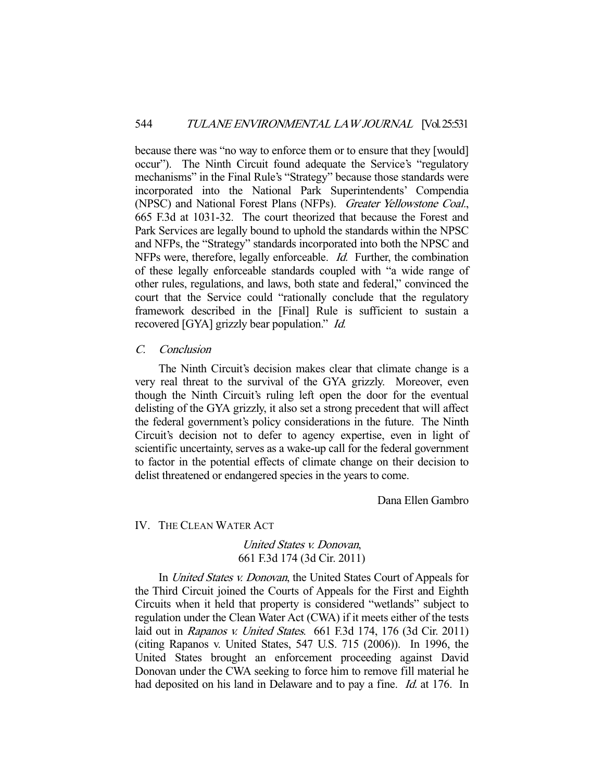because there was "no way to enforce them or to ensure that they [would] occur"). The Ninth Circuit found adequate the Service's "regulatory mechanisms" in the Final Rule's "Strategy" because those standards were incorporated into the National Park Superintendents' Compendia (NPSC) and National Forest Plans (NFPs). Greater Yellowstone Coal., 665 F.3d at 1031-32. The court theorized that because the Forest and Park Services are legally bound to uphold the standards within the NPSC and NFPs, the "Strategy" standards incorporated into both the NPSC and NFPs were, therefore, legally enforceable. Id. Further, the combination of these legally enforceable standards coupled with "a wide range of other rules, regulations, and laws, both state and federal," convinced the court that the Service could "rationally conclude that the regulatory framework described in the [Final] Rule is sufficient to sustain a recovered [GYA] grizzly bear population." Id.

## C. Conclusion

 The Ninth Circuit's decision makes clear that climate change is a very real threat to the survival of the GYA grizzly. Moreover, even though the Ninth Circuit's ruling left open the door for the eventual delisting of the GYA grizzly, it also set a strong precedent that will affect the federal government's policy considerations in the future. The Ninth Circuit's decision not to defer to agency expertise, even in light of scientific uncertainty, serves as a wake-up call for the federal government to factor in the potential effects of climate change on their decision to delist threatened or endangered species in the years to come.

Dana Ellen Gambro

## IV. THE CLEAN WATER ACT

# United States v. Donovan, 661 F.3d 174 (3d Cir. 2011)

In *United States v. Donovan*, the United States Court of Appeals for the Third Circuit joined the Courts of Appeals for the First and Eighth Circuits when it held that property is considered "wetlands" subject to regulation under the Clean Water Act (CWA) if it meets either of the tests laid out in *Rapanos v. United States.* 661 F.3d 174, 176 (3d Cir. 2011) (citing Rapanos v. United States, 547 U.S. 715 (2006)). In 1996, the United States brought an enforcement proceeding against David Donovan under the CWA seeking to force him to remove fill material he had deposited on his land in Delaware and to pay a fine. *Id.* at 176. In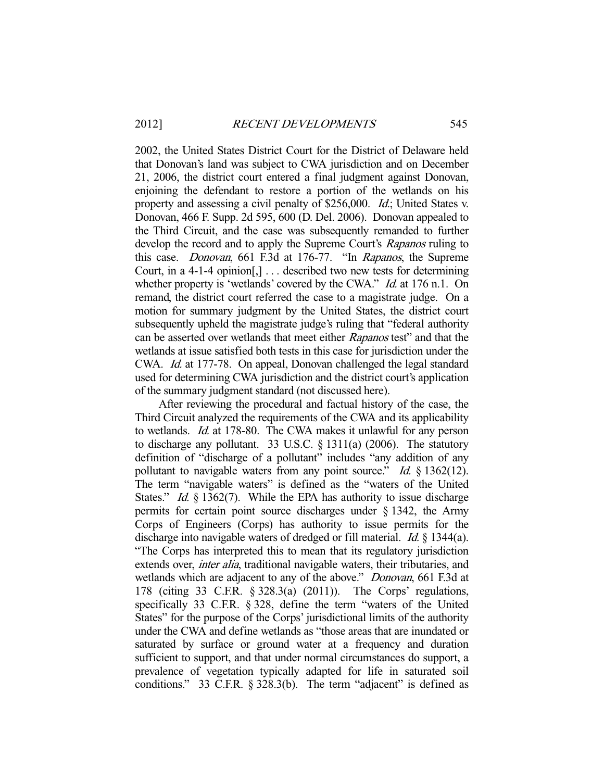2002, the United States District Court for the District of Delaware held that Donovan's land was subject to CWA jurisdiction and on December 21, 2006, the district court entered a final judgment against Donovan, enjoining the defendant to restore a portion of the wetlands on his property and assessing a civil penalty of \$256,000. Id.; United States v. Donovan, 466 F. Supp. 2d 595, 600 (D. Del. 2006). Donovan appealed to the Third Circuit, and the case was subsequently remanded to further develop the record and to apply the Supreme Court's Rapanos ruling to this case. Donovan, 661 F.3d at 176-77. "In Rapanos, the Supreme Court, in a 4-1-4 opinion[,] . . . described two new tests for determining whether property is 'wetlands' covered by the CWA." *Id.* at 176 n.1. On remand, the district court referred the case to a magistrate judge. On a motion for summary judgment by the United States, the district court subsequently upheld the magistrate judge's ruling that "federal authority can be asserted over wetlands that meet either Rapanos test" and that the wetlands at issue satisfied both tests in this case for jurisdiction under the CWA. Id. at 177-78. On appeal, Donovan challenged the legal standard used for determining CWA jurisdiction and the district court's application of the summary judgment standard (not discussed here).

 After reviewing the procedural and factual history of the case, the Third Circuit analyzed the requirements of the CWA and its applicability to wetlands. Id. at 178-80. The CWA makes it unlawful for any person to discharge any pollutant. 33 U.S.C. § 1311(a) (2006). The statutory definition of "discharge of a pollutant" includes "any addition of any pollutant to navigable waters from any point source." Id.  $\S$  1362(12). The term "navigable waters" is defined as the "waters of the United States." *Id.* § 1362(7). While the EPA has authority to issue discharge permits for certain point source discharges under § 1342, the Army Corps of Engineers (Corps) has authority to issue permits for the discharge into navigable waters of dredged or fill material. *Id.* § 1344(a). "The Corps has interpreted this to mean that its regulatory jurisdiction extends over, *inter alia*, traditional navigable waters, their tributaries, and wetlands which are adjacent to any of the above." *Donovan*, 661 F.3d at 178 (citing 33 C.F.R. § 328.3(a) (2011)). The Corps' regulations, specifically 33 C.F.R. § 328, define the term "waters of the United States" for the purpose of the Corps' jurisdictional limits of the authority under the CWA and define wetlands as "those areas that are inundated or saturated by surface or ground water at a frequency and duration sufficient to support, and that under normal circumstances do support, a prevalence of vegetation typically adapted for life in saturated soil conditions." 33 C.F.R. § 328.3(b). The term "adjacent" is defined as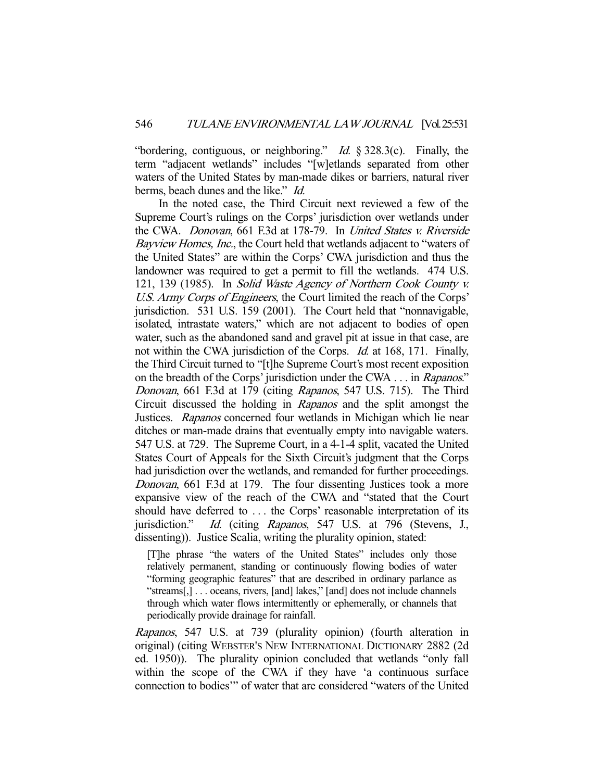"bordering, contiguous, or neighboring." *Id.*  $\S 328.3(c)$ . Finally, the term "adjacent wetlands" includes "[w]etlands separated from other waters of the United States by man-made dikes or barriers, natural river berms, beach dunes and the like." *Id.* 

 In the noted case, the Third Circuit next reviewed a few of the Supreme Court's rulings on the Corps' jurisdiction over wetlands under the CWA. Donovan, 661 F.3d at 178-79. In United States v. Riverside Bayview Homes, Inc., the Court held that wetlands adjacent to "waters of the United States" are within the Corps' CWA jurisdiction and thus the landowner was required to get a permit to fill the wetlands. 474 U.S. 121, 139 (1985). In Solid Waste Agency of Northern Cook County v. U.S. Army Corps of Engineers, the Court limited the reach of the Corps' jurisdiction. 531 U.S. 159 (2001). The Court held that "nonnavigable, isolated, intrastate waters," which are not adjacent to bodies of open water, such as the abandoned sand and gravel pit at issue in that case, are not within the CWA jurisdiction of the Corps. *Id.* at 168, 171. Finally, the Third Circuit turned to "[t]he Supreme Court's most recent exposition on the breadth of the Corps' jurisdiction under the CWA . . . in Rapanos." Donovan, 661 F.3d at 179 (citing Rapanos, 547 U.S. 715). The Third Circuit discussed the holding in Rapanos and the split amongst the Justices. Rapanos concerned four wetlands in Michigan which lie near ditches or man-made drains that eventually empty into navigable waters. 547 U.S. at 729. The Supreme Court, in a 4-1-4 split, vacated the United States Court of Appeals for the Sixth Circuit's judgment that the Corps had jurisdiction over the wetlands, and remanded for further proceedings. Donovan, 661 F.3d at 179. The four dissenting Justices took a more expansive view of the reach of the CWA and "stated that the Court should have deferred to . . . the Corps' reasonable interpretation of its jurisdiction." Id. (citing Rapanos, 547 U.S. at 796 (Stevens, J., dissenting)). Justice Scalia, writing the plurality opinion, stated:

[T]he phrase "the waters of the United States" includes only those relatively permanent, standing or continuously flowing bodies of water "forming geographic features" that are described in ordinary parlance as "streams[,] . . . oceans, rivers, [and] lakes," [and] does not include channels through which water flows intermittently or ephemerally, or channels that periodically provide drainage for rainfall.

Rapanos, 547 U.S. at 739 (plurality opinion) (fourth alteration in original) (citing WEBSTER'S NEW INTERNATIONAL DICTIONARY 2882 (2d ed. 1950)). The plurality opinion concluded that wetlands "only fall within the scope of the CWA if they have 'a continuous surface connection to bodies'" of water that are considered "waters of the United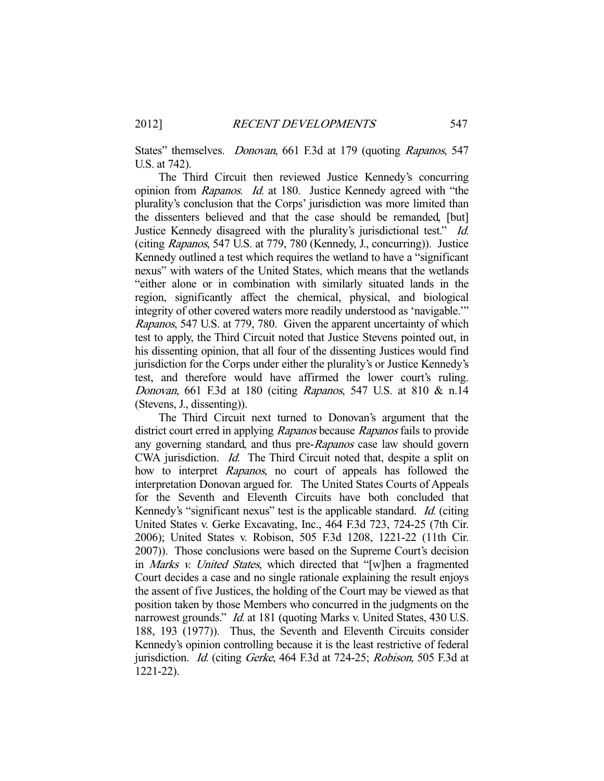States" themselves. *Donovan*, 661 F.3d at 179 (quoting *Rapanos*, 547 U.S. at 742).

 The Third Circuit then reviewed Justice Kennedy's concurring opinion from Rapanos. Id. at 180. Justice Kennedy agreed with "the plurality's conclusion that the Corps' jurisdiction was more limited than the dissenters believed and that the case should be remanded, [but] Justice Kennedy disagreed with the plurality's jurisdictional test." Id. (citing Rapanos, 547 U.S. at 779, 780 (Kennedy, J., concurring)). Justice Kennedy outlined a test which requires the wetland to have a "significant nexus" with waters of the United States, which means that the wetlands "either alone or in combination with similarly situated lands in the region, significantly affect the chemical, physical, and biological integrity of other covered waters more readily understood as 'navigable.'" Rapanos, 547 U.S. at 779, 780. Given the apparent uncertainty of which test to apply, the Third Circuit noted that Justice Stevens pointed out, in his dissenting opinion, that all four of the dissenting Justices would find jurisdiction for the Corps under either the plurality's or Justice Kennedy's test, and therefore would have affirmed the lower court's ruling. Donovan, 661 F.3d at 180 (citing Rapanos, 547 U.S. at 810 & n.14 (Stevens, J., dissenting)).

 The Third Circuit next turned to Donovan's argument that the district court erred in applying Rapanos because Rapanos fails to provide any governing standard, and thus pre-Rapanos case law should govern CWA jurisdiction. Id. The Third Circuit noted that, despite a split on how to interpret Rapanos, no court of appeals has followed the interpretation Donovan argued for. The United States Courts of Appeals for the Seventh and Eleventh Circuits have both concluded that Kennedy's "significant nexus" test is the applicable standard. *Id.* (citing United States v. Gerke Excavating, Inc., 464 F.3d 723, 724-25 (7th Cir. 2006); United States v. Robison, 505 F.3d 1208, 1221-22 (11th Cir. 2007)). Those conclusions were based on the Supreme Court's decision in Marks v. United States, which directed that "[w]hen a fragmented Court decides a case and no single rationale explaining the result enjoys the assent of five Justices, the holding of the Court may be viewed as that position taken by those Members who concurred in the judgments on the narrowest grounds." *Id.* at 181 (quoting Marks v. United States, 430 U.S. 188, 193 (1977)). Thus, the Seventh and Eleventh Circuits consider Kennedy's opinion controlling because it is the least restrictive of federal jurisdiction. *Id.* (citing *Gerke*, 464 F.3d at 724-25; *Robison*, 505 F.3d at 1221-22).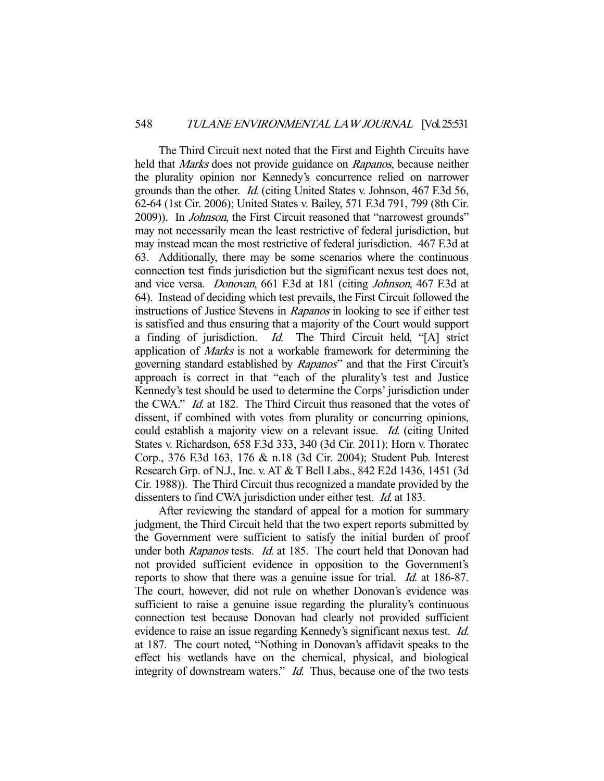The Third Circuit next noted that the First and Eighth Circuits have held that *Marks* does not provide guidance on *Rapanos*, because neither the plurality opinion nor Kennedy's concurrence relied on narrower grounds than the other. Id. (citing United States v. Johnson, 467 F.3d 56, 62-64 (1st Cir. 2006); United States v. Bailey, 571 F.3d 791, 799 (8th Cir. 2009)). In Johnson, the First Circuit reasoned that "narrowest grounds" may not necessarily mean the least restrictive of federal jurisdiction, but may instead mean the most restrictive of federal jurisdiction. 467 F.3d at 63. Additionally, there may be some scenarios where the continuous connection test finds jurisdiction but the significant nexus test does not, and vice versa. Donovan, 661 F.3d at 181 (citing Johnson, 467 F.3d at 64). Instead of deciding which test prevails, the First Circuit followed the instructions of Justice Stevens in Rapanos in looking to see if either test is satisfied and thus ensuring that a majority of the Court would support a finding of jurisdiction. Id. The Third Circuit held, "[A] strict application of Marks is not a workable framework for determining the governing standard established by Rapanos" and that the First Circuit's approach is correct in that "each of the plurality's test and Justice Kennedy's test should be used to determine the Corps' jurisdiction under the CWA." Id. at 182. The Third Circuit thus reasoned that the votes of dissent, if combined with votes from plurality or concurring opinions, could establish a majority view on a relevant issue. Id. (citing United States v. Richardson, 658 F.3d 333, 340 (3d Cir. 2011); Horn v. Thoratec Corp., 376 F.3d 163, 176 & n.18 (3d Cir. 2004); Student Pub. Interest Research Grp. of N.J., Inc. v. AT & T Bell Labs., 842 F.2d 1436, 1451 (3d Cir. 1988)). The Third Circuit thus recognized a mandate provided by the dissenters to find CWA jurisdiction under either test. *Id.* at 183.

 After reviewing the standard of appeal for a motion for summary judgment, the Third Circuit held that the two expert reports submitted by the Government were sufficient to satisfy the initial burden of proof under both Rapanos tests. Id. at 185. The court held that Donovan had not provided sufficient evidence in opposition to the Government's reports to show that there was a genuine issue for trial. Id. at 186-87. The court, however, did not rule on whether Donovan's evidence was sufficient to raise a genuine issue regarding the plurality's continuous connection test because Donovan had clearly not provided sufficient evidence to raise an issue regarding Kennedy's significant nexus test. Id. at 187. The court noted, "Nothing in Donovan's affidavit speaks to the effect his wetlands have on the chemical, physical, and biological integrity of downstream waters." *Id.* Thus, because one of the two tests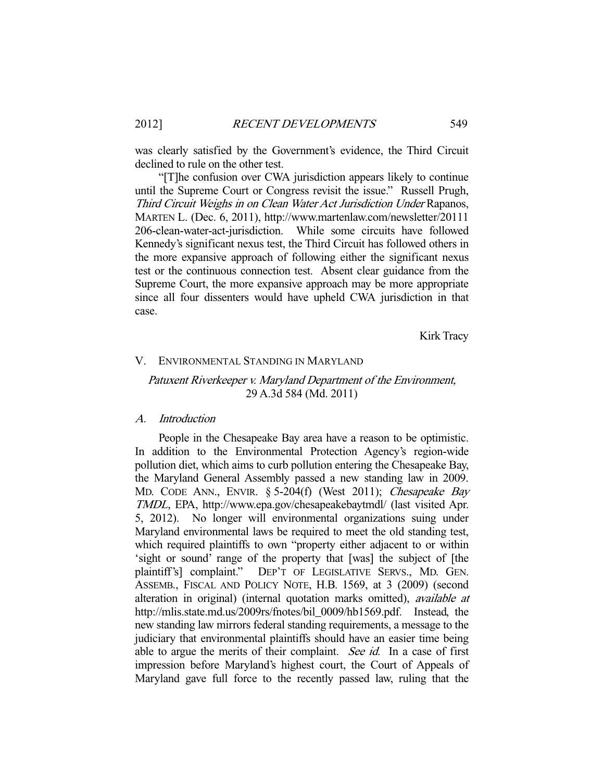was clearly satisfied by the Government's evidence, the Third Circuit declined to rule on the other test.

 "[T]he confusion over CWA jurisdiction appears likely to continue until the Supreme Court or Congress revisit the issue." Russell Prugh, Third Circuit Weighs in on Clean Water Act Jurisdiction Under Rapanos, MARTEN L. (Dec. 6, 2011), http://www.martenlaw.com/newsletter/20111 206-clean-water-act-jurisdiction. While some circuits have followed Kennedy's significant nexus test, the Third Circuit has followed others in the more expansive approach of following either the significant nexus test or the continuous connection test. Absent clear guidance from the Supreme Court, the more expansive approach may be more appropriate since all four dissenters would have upheld CWA jurisdiction in that case.

Kirk Tracy

#### V. ENVIRONMENTAL STANDING IN MARYLAND

# Patuxent Riverkeeper v. Maryland Department of the Environment, 29 A.3d 584 (Md. 2011)

#### A. Introduction

 People in the Chesapeake Bay area have a reason to be optimistic. In addition to the Environmental Protection Agency's region-wide pollution diet, which aims to curb pollution entering the Chesapeake Bay, the Maryland General Assembly passed a new standing law in 2009. MD. CODE ANN., ENVIR. § 5-204(f) (West 2011); Chesapeake Bay TMDL, EPA, http://www.epa.gov/chesapeakebaytmdl/ (last visited Apr. 5, 2012). No longer will environmental organizations suing under Maryland environmental laws be required to meet the old standing test, which required plaintiffs to own "property either adjacent to or within 'sight or sound' range of the property that [was] the subject of [the plaintiff's] complaint." DEP'T OF LEGISLATIVE SERVS., MD. GEN. ASSEMB., FISCAL AND POLICY NOTE, H.B. 1569, at 3 (2009) (second alteration in original) (internal quotation marks omitted), available at http://mlis.state.md.us/2009rs/fnotes/bil\_0009/hb1569.pdf. Instead, the new standing law mirrors federal standing requirements, a message to the judiciary that environmental plaintiffs should have an easier time being able to argue the merits of their complaint. See id. In a case of first impression before Maryland's highest court, the Court of Appeals of Maryland gave full force to the recently passed law, ruling that the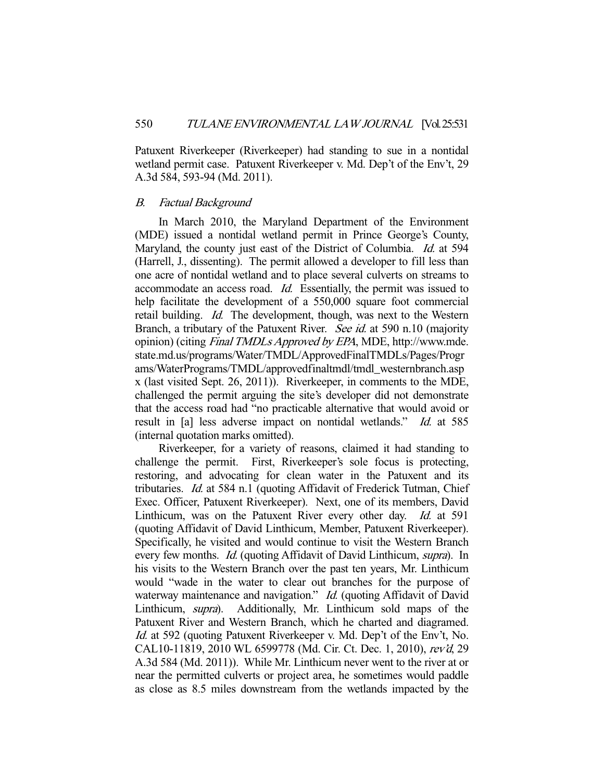Patuxent Riverkeeper (Riverkeeper) had standing to sue in a nontidal wetland permit case. Patuxent Riverkeeper v. Md. Dep't of the Env't, 29 A.3d 584, 593-94 (Md. 2011).

#### B. Factual Background

 In March 2010, the Maryland Department of the Environment (MDE) issued a nontidal wetland permit in Prince George's County, Maryland, the county just east of the District of Columbia. Id. at 594 (Harrell, J., dissenting). The permit allowed a developer to fill less than one acre of nontidal wetland and to place several culverts on streams to accommodate an access road. Id. Essentially, the permit was issued to help facilitate the development of a 550,000 square foot commercial retail building. *Id.* The development, though, was next to the Western Branch, a tributary of the Patuxent River. See id. at 590 n.10 (majority opinion) (citing Final TMDLs Approved by EPA, MDE, http://www.mde. state.md.us/programs/Water/TMDL/ApprovedFinalTMDLs/Pages/Progr ams/WaterPrograms/TMDL/approvedfinaltmdl/tmdl\_westernbranch.asp x (last visited Sept. 26, 2011)). Riverkeeper, in comments to the MDE, challenged the permit arguing the site's developer did not demonstrate that the access road had "no practicable alternative that would avoid or result in [a] less adverse impact on nontidal wetlands." Id. at 585 (internal quotation marks omitted).

 Riverkeeper, for a variety of reasons, claimed it had standing to challenge the permit. First, Riverkeeper's sole focus is protecting, restoring, and advocating for clean water in the Patuxent and its tributaries. Id. at 584 n.1 (quoting Affidavit of Frederick Tutman, Chief Exec. Officer, Patuxent Riverkeeper). Next, one of its members, David Linthicum, was on the Patuxent River every other day. Id. at 591 (quoting Affidavit of David Linthicum, Member, Patuxent Riverkeeper). Specifically, he visited and would continue to visit the Western Branch every few months. *Id.* (quoting Affidavit of David Linthicum, *supra*). In his visits to the Western Branch over the past ten years, Mr. Linthicum would "wade in the water to clear out branches for the purpose of waterway maintenance and navigation." *Id.* (quoting Affidavit of David Linthicum, supra). Additionally, Mr. Linthicum sold maps of the Patuxent River and Western Branch, which he charted and diagramed. Id. at 592 (quoting Patuxent Riverkeeper v. Md. Dep't of the Env't, No. CAL10-11819, 2010 WL 6599778 (Md. Cir. Ct. Dec. 1, 2010), rev'd, 29 A.3d 584 (Md. 2011)). While Mr. Linthicum never went to the river at or near the permitted culverts or project area, he sometimes would paddle as close as 8.5 miles downstream from the wetlands impacted by the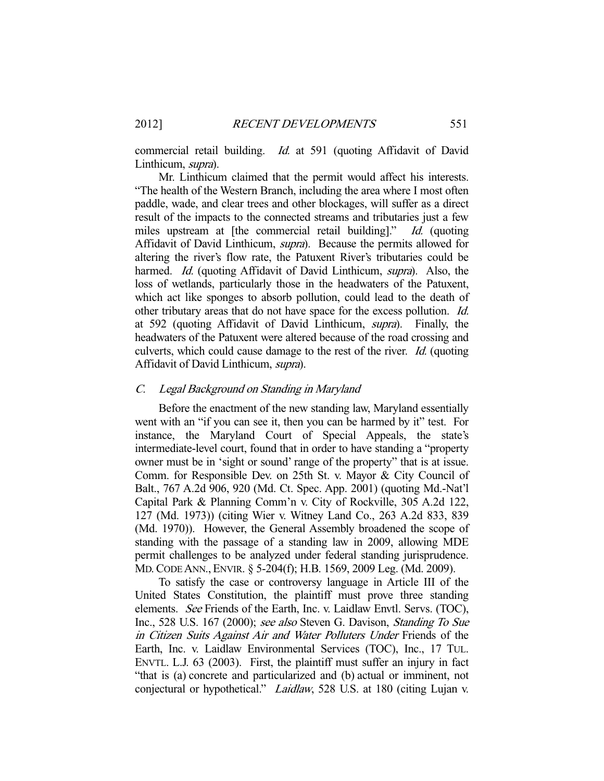commercial retail building. *Id.* at 591 (quoting Affidavit of David Linthicum, supra).

 Mr. Linthicum claimed that the permit would affect his interests. "The health of the Western Branch, including the area where I most often paddle, wade, and clear trees and other blockages, will suffer as a direct result of the impacts to the connected streams and tributaries just a few miles upstream at [the commercial retail building]." Id. (quoting Affidavit of David Linthicum, supra). Because the permits allowed for altering the river's flow rate, the Patuxent River's tributaries could be harmed. Id. (quoting Affidavit of David Linthicum, supra). Also, the loss of wetlands, particularly those in the headwaters of the Patuxent, which act like sponges to absorb pollution, could lead to the death of other tributary areas that do not have space for the excess pollution. Id. at 592 (quoting Affidavit of David Linthicum, supra). Finally, the headwaters of the Patuxent were altered because of the road crossing and culverts, which could cause damage to the rest of the river. Id. (quoting Affidavit of David Linthicum, supra).

## C. Legal Background on Standing in Maryland

 Before the enactment of the new standing law, Maryland essentially went with an "if you can see it, then you can be harmed by it" test. For instance, the Maryland Court of Special Appeals, the state's intermediate-level court, found that in order to have standing a "property owner must be in 'sight or sound' range of the property" that is at issue. Comm. for Responsible Dev. on 25th St. v. Mayor & City Council of Balt., 767 A.2d 906, 920 (Md. Ct. Spec. App. 2001) (quoting Md.-Nat'l Capital Park & Planning Comm'n v. City of Rockville, 305 A.2d 122, 127 (Md. 1973)) (citing Wier v. Witney Land Co., 263 A.2d 833, 839 (Md. 1970)). However, the General Assembly broadened the scope of standing with the passage of a standing law in 2009, allowing MDE permit challenges to be analyzed under federal standing jurisprudence. MD.CODE ANN., ENVIR. § 5-204(f); H.B. 1569, 2009 Leg. (Md. 2009).

 To satisfy the case or controversy language in Article III of the United States Constitution, the plaintiff must prove three standing elements. See Friends of the Earth, Inc. v. Laidlaw Envtl. Servs. (TOC), Inc., 528 U.S. 167 (2000); see also Steven G. Davison, Standing To Sue in Citizen Suits Against Air and Water Polluters Under Friends of the Earth, Inc. v. Laidlaw Environmental Services (TOC), Inc., 17 TUL. ENVTL. L.J. 63 (2003). First, the plaintiff must suffer an injury in fact "that is (a) concrete and particularized and (b) actual or imminent, not conjectural or hypothetical." Laidlaw, 528 U.S. at 180 (citing Lujan v.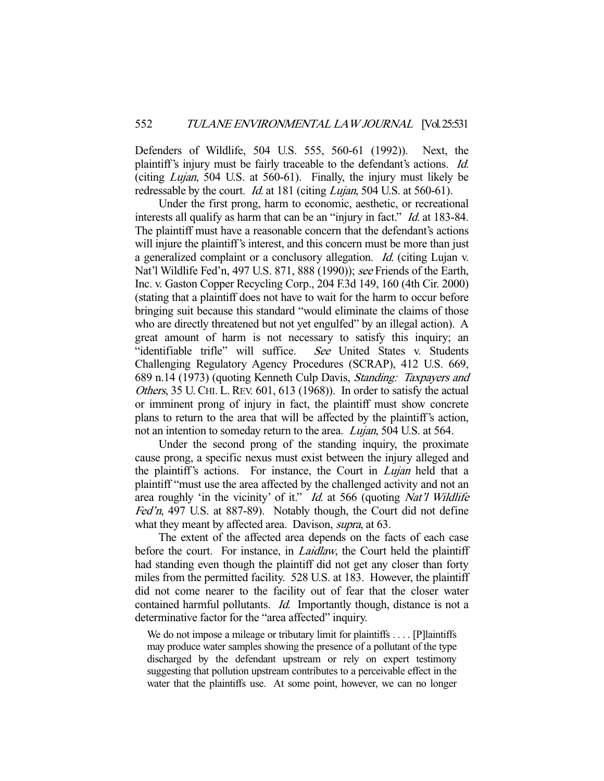Defenders of Wildlife, 504 U.S. 555, 560-61 (1992)). Next, the plaintiff's injury must be fairly traceable to the defendant's actions. Id. (citing Lujan, 504 U.S. at 560-61). Finally, the injury must likely be redressable by the court. *Id.* at 181 (citing *Lujan*, 504 U.S. at 560-61).

 Under the first prong, harm to economic, aesthetic, or recreational interests all qualify as harm that can be an "injury in fact." *Id.* at 183-84. The plaintiff must have a reasonable concern that the defendant's actions will injure the plaintiff's interest, and this concern must be more than just a generalized complaint or a conclusory allegation. Id. (citing Lujan v. Nat'l Wildlife Fed'n, 497 U.S. 871, 888 (1990)); see Friends of the Earth, Inc. v. Gaston Copper Recycling Corp., 204 F.3d 149, 160 (4th Cir. 2000) (stating that a plaintiff does not have to wait for the harm to occur before bringing suit because this standard "would eliminate the claims of those who are directly threatened but not yet engulfed" by an illegal action). A great amount of harm is not necessary to satisfy this inquiry; an "identifiable trifle" will suffice. See United States v. Students Challenging Regulatory Agency Procedures (SCRAP), 412 U.S. 669, 689 n.14 (1973) (quoting Kenneth Culp Davis, Standing: Taxpayers and Others, 35 U. CHI. L. REV. 601, 613 (1968)). In order to satisfy the actual or imminent prong of injury in fact, the plaintiff must show concrete plans to return to the area that will be affected by the plaintiff's action, not an intention to someday return to the area. *Lujan*, 504 U.S. at 564.

 Under the second prong of the standing inquiry, the proximate cause prong, a specific nexus must exist between the injury alleged and the plaintiff's actions. For instance, the Court in *Lujan* held that a plaintiff "must use the area affected by the challenged activity and not an area roughly 'in the vicinity' of it." *Id.* at 566 (quoting *Nat'l Wildlife* Fed'n, 497 U.S. at 887-89). Notably though, the Court did not define what they meant by affected area. Davison, *supra*, at 63.

 The extent of the affected area depends on the facts of each case before the court. For instance, in *Laidlaw*, the Court held the plaintiff had standing even though the plaintiff did not get any closer than forty miles from the permitted facility. 528 U.S. at 183. However, the plaintiff did not come nearer to the facility out of fear that the closer water contained harmful pollutants. Id. Importantly though, distance is not a determinative factor for the "area affected" inquiry.

We do not impose a mileage or tributary limit for plaintiffs . . . . [P]laintiffs may produce water samples showing the presence of a pollutant of the type discharged by the defendant upstream or rely on expert testimony suggesting that pollution upstream contributes to a perceivable effect in the water that the plaintiffs use. At some point, however, we can no longer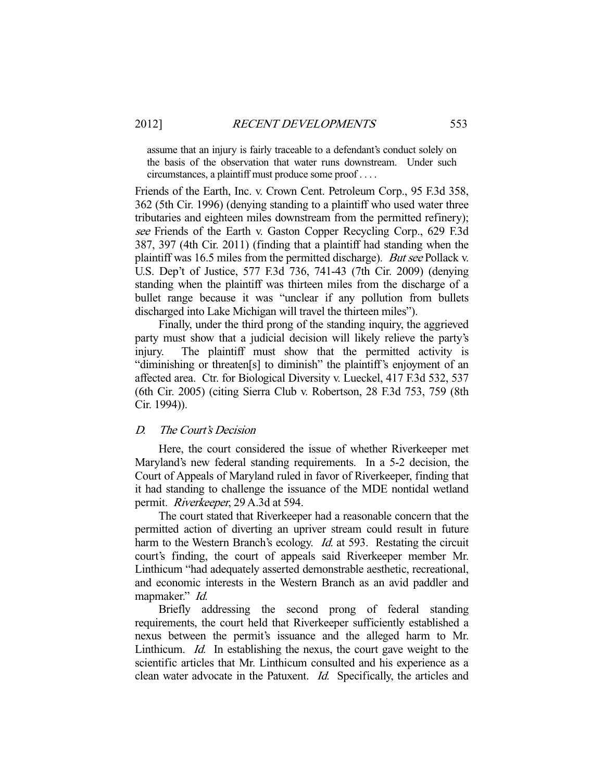assume that an injury is fairly traceable to a defendant's conduct solely on the basis of the observation that water runs downstream. Under such circumstances, a plaintiff must produce some proof . . . .

Friends of the Earth, Inc. v. Crown Cent. Petroleum Corp., 95 F.3d 358, 362 (5th Cir. 1996) (denying standing to a plaintiff who used water three tributaries and eighteen miles downstream from the permitted refinery); see Friends of the Earth v. Gaston Copper Recycling Corp., 629 F.3d 387, 397 (4th Cir. 2011) (finding that a plaintiff had standing when the plaintiff was 16.5 miles from the permitted discharge). But see Pollack v. U.S. Dep't of Justice, 577 F.3d 736, 741-43 (7th Cir. 2009) (denying standing when the plaintiff was thirteen miles from the discharge of a bullet range because it was "unclear if any pollution from bullets discharged into Lake Michigan will travel the thirteen miles").

 Finally, under the third prong of the standing inquiry, the aggrieved party must show that a judicial decision will likely relieve the party's injury. The plaintiff must show that the permitted activity is "diminishing or threaten[s] to diminish" the plaintiff's enjoyment of an affected area. Ctr. for Biological Diversity v. Lueckel, 417 F.3d 532, 537 (6th Cir. 2005) (citing Sierra Club v. Robertson, 28 F.3d 753, 759 (8th Cir. 1994)).

#### D. The Court's Decision

 Here, the court considered the issue of whether Riverkeeper met Maryland's new federal standing requirements. In a 5-2 decision, the Court of Appeals of Maryland ruled in favor of Riverkeeper, finding that it had standing to challenge the issuance of the MDE nontidal wetland permit. Riverkeeper, 29 A.3d at 594.

 The court stated that Riverkeeper had a reasonable concern that the permitted action of diverting an upriver stream could result in future harm to the Western Branch's ecology. *Id.* at 593. Restating the circuit court's finding, the court of appeals said Riverkeeper member Mr. Linthicum "had adequately asserted demonstrable aesthetic, recreational, and economic interests in the Western Branch as an avid paddler and mapmaker." Id.

 Briefly addressing the second prong of federal standing requirements, the court held that Riverkeeper sufficiently established a nexus between the permit's issuance and the alleged harm to Mr. Linthicum. Id. In establishing the nexus, the court gave weight to the scientific articles that Mr. Linthicum consulted and his experience as a clean water advocate in the Patuxent. Id. Specifically, the articles and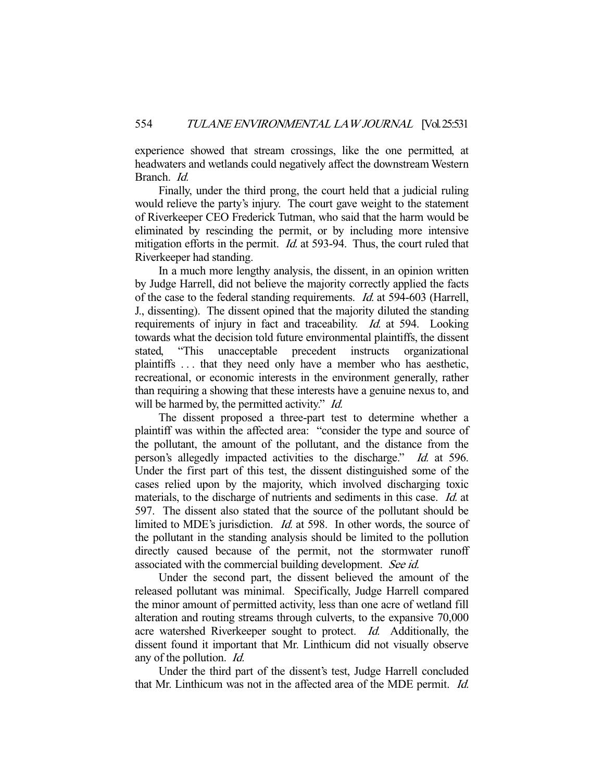experience showed that stream crossings, like the one permitted, at headwaters and wetlands could negatively affect the downstream Western Branch. Id.

 Finally, under the third prong, the court held that a judicial ruling would relieve the party's injury. The court gave weight to the statement of Riverkeeper CEO Frederick Tutman, who said that the harm would be eliminated by rescinding the permit, or by including more intensive mitigation efforts in the permit. *Id.* at 593-94. Thus, the court ruled that Riverkeeper had standing.

 In a much more lengthy analysis, the dissent, in an opinion written by Judge Harrell, did not believe the majority correctly applied the facts of the case to the federal standing requirements. Id. at 594-603 (Harrell, J., dissenting). The dissent opined that the majority diluted the standing requirements of injury in fact and traceability. *Id.* at 594. Looking towards what the decision told future environmental plaintiffs, the dissent stated, "This unacceptable precedent instructs organizational plaintiffs . . . that they need only have a member who has aesthetic, recreational, or economic interests in the environment generally, rather than requiring a showing that these interests have a genuine nexus to, and will be harmed by, the permitted activity." *Id.* 

 The dissent proposed a three-part test to determine whether a plaintiff was within the affected area: "consider the type and source of the pollutant, the amount of the pollutant, and the distance from the person's allegedly impacted activities to the discharge." Id. at 596. Under the first part of this test, the dissent distinguished some of the cases relied upon by the majority, which involved discharging toxic materials, to the discharge of nutrients and sediments in this case. *Id.* at 597. The dissent also stated that the source of the pollutant should be limited to MDE's jurisdiction. *Id.* at 598. In other words, the source of the pollutant in the standing analysis should be limited to the pollution directly caused because of the permit, not the stormwater runoff associated with the commercial building development. See id.

 Under the second part, the dissent believed the amount of the released pollutant was minimal. Specifically, Judge Harrell compared the minor amount of permitted activity, less than one acre of wetland fill alteration and routing streams through culverts, to the expansive 70,000 acre watershed Riverkeeper sought to protect. Id. Additionally, the dissent found it important that Mr. Linthicum did not visually observe any of the pollution. Id.

 Under the third part of the dissent's test, Judge Harrell concluded that Mr. Linthicum was not in the affected area of the MDE permit. Id.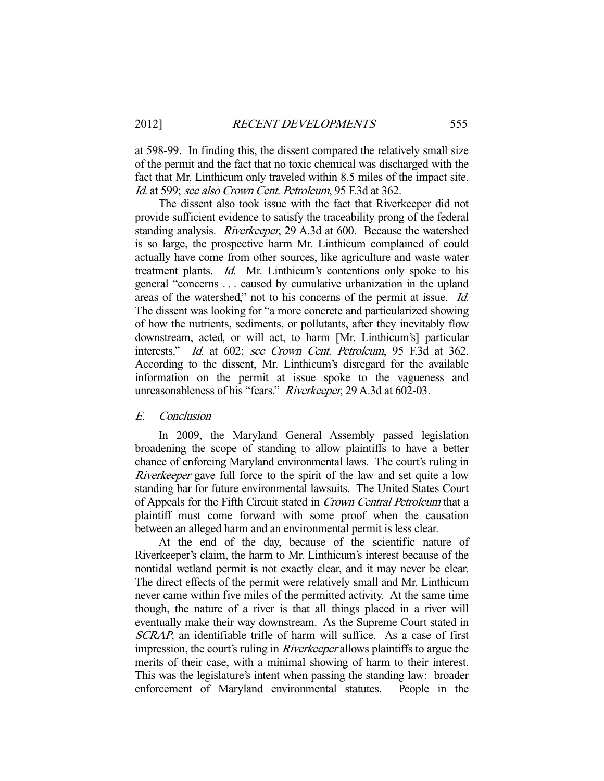at 598-99. In finding this, the dissent compared the relatively small size of the permit and the fact that no toxic chemical was discharged with the fact that Mr. Linthicum only traveled within 8.5 miles of the impact site. Id. at 599; see also Crown Cent. Petroleum, 95 F.3d at 362.

 The dissent also took issue with the fact that Riverkeeper did not provide sufficient evidence to satisfy the traceability prong of the federal standing analysis. Riverkeeper, 29 A.3d at 600. Because the watershed is so large, the prospective harm Mr. Linthicum complained of could actually have come from other sources, like agriculture and waste water treatment plants. Id. Mr. Linthicum's contentions only spoke to his general "concerns . . . caused by cumulative urbanization in the upland areas of the watershed," not to his concerns of the permit at issue. Id. The dissent was looking for "a more concrete and particularized showing of how the nutrients, sediments, or pollutants, after they inevitably flow downstream, acted, or will act, to harm [Mr. Linthicum's] particular interests." Id. at 602; see Crown Cent. Petroleum, 95 F.3d at 362. According to the dissent, Mr. Linthicum's disregard for the available information on the permit at issue spoke to the vagueness and unreasonableness of his "fears." Riverkeeper, 29 A.3d at 602-03.

#### E. Conclusion

 In 2009, the Maryland General Assembly passed legislation broadening the scope of standing to allow plaintiffs to have a better chance of enforcing Maryland environmental laws. The court's ruling in Riverkeeper gave full force to the spirit of the law and set quite a low standing bar for future environmental lawsuits. The United States Court of Appeals for the Fifth Circuit stated in Crown Central Petroleum that a plaintiff must come forward with some proof when the causation between an alleged harm and an environmental permit is less clear.

 At the end of the day, because of the scientific nature of Riverkeeper's claim, the harm to Mr. Linthicum's interest because of the nontidal wetland permit is not exactly clear, and it may never be clear. The direct effects of the permit were relatively small and Mr. Linthicum never came within five miles of the permitted activity. At the same time though, the nature of a river is that all things placed in a river will eventually make their way downstream. As the Supreme Court stated in SCRAP, an identifiable trifle of harm will suffice. As a case of first impression, the court's ruling in Riverkeeper allows plaintiffs to argue the merits of their case, with a minimal showing of harm to their interest. This was the legislature's intent when passing the standing law: broader enforcement of Maryland environmental statutes. People in the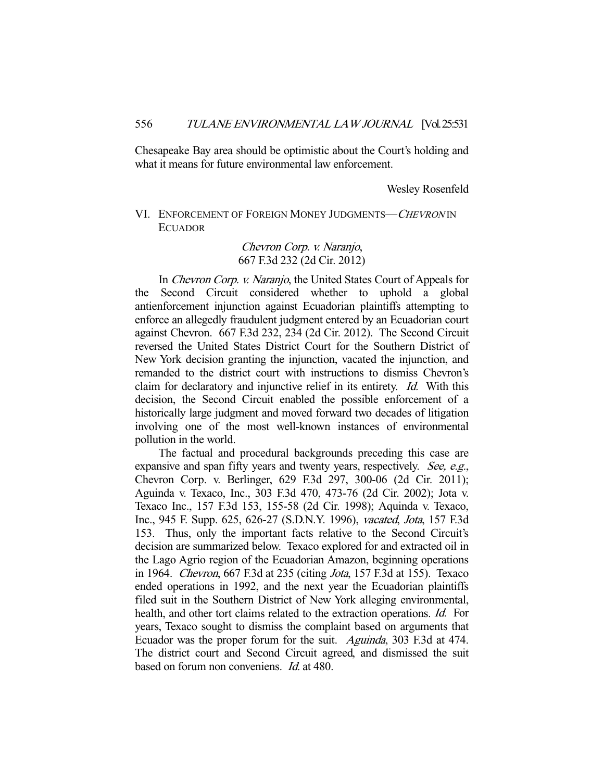Chesapeake Bay area should be optimistic about the Court's holding and what it means for future environmental law enforcement.

Wesley Rosenfeld

# VI. ENFORCEMENT OF FOREIGN MONEY JUDGMENTS—CHEVRON IN ECUADOR

# Chevron Corp. v. Naranjo, 667 F.3d 232 (2d Cir. 2012)

In Chevron Corp. v. Naranjo, the United States Court of Appeals for the Second Circuit considered whether to uphold a global antienforcement injunction against Ecuadorian plaintiffs attempting to enforce an allegedly fraudulent judgment entered by an Ecuadorian court against Chevron. 667 F.3d 232, 234 (2d Cir. 2012). The Second Circuit reversed the United States District Court for the Southern District of New York decision granting the injunction, vacated the injunction, and remanded to the district court with instructions to dismiss Chevron's claim for declaratory and injunctive relief in its entirety. Id. With this decision, the Second Circuit enabled the possible enforcement of a historically large judgment and moved forward two decades of litigation involving one of the most well-known instances of environmental pollution in the world.

 The factual and procedural backgrounds preceding this case are expansive and span fifty years and twenty years, respectively. See, e.g., Chevron Corp. v. Berlinger, 629 F.3d 297, 300-06 (2d Cir. 2011); Aguinda v. Texaco, Inc., 303 F.3d 470, 473-76 (2d Cir. 2002); Jota v. Texaco Inc., 157 F.3d 153, 155-58 (2d Cir. 1998); Aquinda v. Texaco, Inc., 945 F. Supp. 625, 626-27 (S.D.N.Y. 1996), vacated, Jota, 157 F.3d 153. Thus, only the important facts relative to the Second Circuit's decision are summarized below. Texaco explored for and extracted oil in the Lago Agrio region of the Ecuadorian Amazon, beginning operations in 1964. Chevron, 667 F.3d at 235 (citing Jota, 157 F.3d at 155). Texaco ended operations in 1992, and the next year the Ecuadorian plaintiffs filed suit in the Southern District of New York alleging environmental, health, and other tort claims related to the extraction operations. Id. For years, Texaco sought to dismiss the complaint based on arguments that Ecuador was the proper forum for the suit. Aguinda, 303 F.3d at 474. The district court and Second Circuit agreed, and dismissed the suit based on forum non conveniens. Id. at 480.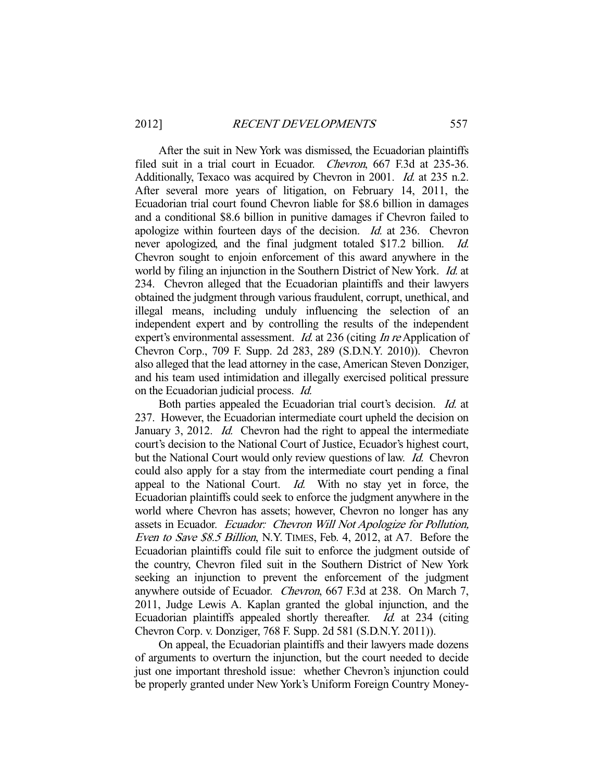After the suit in New York was dismissed, the Ecuadorian plaintiffs filed suit in a trial court in Ecuador. Chevron, 667 F.3d at 235-36. Additionally, Texaco was acquired by Chevron in 2001. *Id.* at 235 n.2. After several more years of litigation, on February 14, 2011, the Ecuadorian trial court found Chevron liable for \$8.6 billion in damages and a conditional \$8.6 billion in punitive damages if Chevron failed to apologize within fourteen days of the decision. Id. at 236. Chevron never apologized, and the final judgment totaled \$17.2 billion. Id. Chevron sought to enjoin enforcement of this award anywhere in the world by filing an injunction in the Southern District of New York. Id. at 234. Chevron alleged that the Ecuadorian plaintiffs and their lawyers obtained the judgment through various fraudulent, corrupt, unethical, and illegal means, including unduly influencing the selection of an independent expert and by controlling the results of the independent expert's environmental assessment. *Id.* at 236 (citing *In re* Application of Chevron Corp., 709 F. Supp. 2d 283, 289 (S.D.N.Y. 2010)). Chevron also alleged that the lead attorney in the case, American Steven Donziger, and his team used intimidation and illegally exercised political pressure on the Ecuadorian judicial process. Id.

 Both parties appealed the Ecuadorian trial court's decision. Id. at 237. However, the Ecuadorian intermediate court upheld the decision on January 3, 2012. Id. Chevron had the right to appeal the intermediate court's decision to the National Court of Justice, Ecuador's highest court, but the National Court would only review questions of law. Id. Chevron could also apply for a stay from the intermediate court pending a final appeal to the National Court.  $Id$ . With no stay yet in force, the Ecuadorian plaintiffs could seek to enforce the judgment anywhere in the world where Chevron has assets; however, Chevron no longer has any assets in Ecuador. Ecuador: Chevron Will Not Apologize for Pollution, Even to Save \$8.5 Billion, N.Y. TIMES, Feb. 4, 2012, at A7. Before the Ecuadorian plaintiffs could file suit to enforce the judgment outside of the country, Chevron filed suit in the Southern District of New York seeking an injunction to prevent the enforcement of the judgment anywhere outside of Ecuador. Chevron, 667 F.3d at 238. On March 7, 2011, Judge Lewis A. Kaplan granted the global injunction, and the Ecuadorian plaintiffs appealed shortly thereafter. Id. at 234 (citing Chevron Corp. v. Donziger, 768 F. Supp. 2d 581 (S.D.N.Y. 2011)).

 On appeal, the Ecuadorian plaintiffs and their lawyers made dozens of arguments to overturn the injunction, but the court needed to decide just one important threshold issue: whether Chevron's injunction could be properly granted under New York's Uniform Foreign Country Money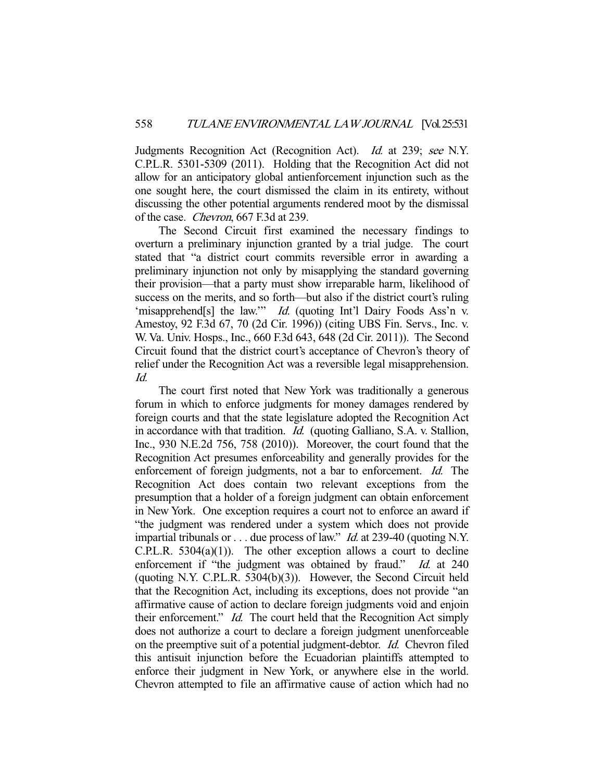Judgments Recognition Act (Recognition Act). Id. at 239; see N.Y. C.P.L.R. 5301-5309 (2011). Holding that the Recognition Act did not allow for an anticipatory global antienforcement injunction such as the one sought here, the court dismissed the claim in its entirety, without discussing the other potential arguments rendered moot by the dismissal of the case. Chevron, 667 F.3d at 239.

 The Second Circuit first examined the necessary findings to overturn a preliminary injunction granted by a trial judge. The court stated that "a district court commits reversible error in awarding a preliminary injunction not only by misapplying the standard governing their provision—that a party must show irreparable harm, likelihood of success on the merits, and so forth—but also if the district court's ruling 'misapprehend[s] the law.'" Id. (quoting Int'l Dairy Foods Ass'n v. Amestoy, 92 F.3d 67, 70 (2d Cir. 1996)) (citing UBS Fin. Servs., Inc. v. W. Va. Univ. Hosps., Inc., 660 F.3d 643, 648 (2d Cir. 2011)). The Second Circuit found that the district court's acceptance of Chevron's theory of relief under the Recognition Act was a reversible legal misapprehension. Id.

 The court first noted that New York was traditionally a generous forum in which to enforce judgments for money damages rendered by foreign courts and that the state legislature adopted the Recognition Act in accordance with that tradition. Id. (quoting Galliano, S.A. v. Stallion, Inc., 930 N.E.2d 756, 758 (2010)). Moreover, the court found that the Recognition Act presumes enforceability and generally provides for the enforcement of foreign judgments, not a bar to enforcement. Id. The Recognition Act does contain two relevant exceptions from the presumption that a holder of a foreign judgment can obtain enforcement in New York. One exception requires a court not to enforce an award if "the judgment was rendered under a system which does not provide impartial tribunals or  $\dots$  due process of law." *Id.* at 239-40 (quoting N.Y.  $C.P.L.R. 5304(a)(1)$ . The other exception allows a court to decline enforcement if "the judgment was obtained by fraud." Id. at 240 (quoting N.Y. C.P.L.R. 5304(b)(3)). However, the Second Circuit held that the Recognition Act, including its exceptions, does not provide "an affirmative cause of action to declare foreign judgments void and enjoin their enforcement." Id. The court held that the Recognition Act simply does not authorize a court to declare a foreign judgment unenforceable on the preemptive suit of a potential judgment-debtor. Id. Chevron filed this antisuit injunction before the Ecuadorian plaintiffs attempted to enforce their judgment in New York, or anywhere else in the world. Chevron attempted to file an affirmative cause of action which had no